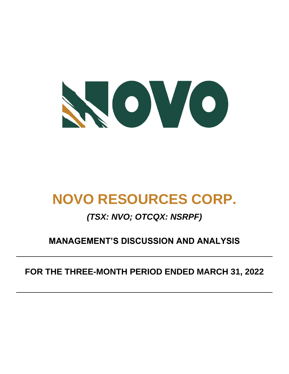

# **NOVO RESOURCES CORP.**

# *(TSX: NVO; OTCQX: NSRPF)*

# **MANAGEMENT'S DISCUSSION AND ANALYSIS**

# **FOR THE THREE-MONTH PERIOD ENDED MARCH 31, 2022**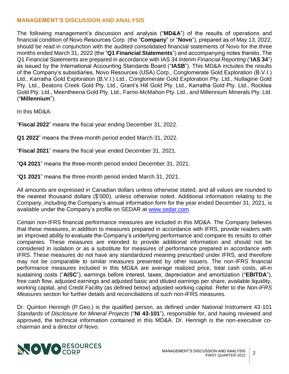# **MANAGEMENT'S DISCUSSION AND ANALYSIS**

The following management's discussion and analysis ("**MD&A**") of the results of operations and financial condition of Novo Resources Corp. (the "**Company**" or "**Novo**"), prepared as of May 13, 2022, should be read in conjunction with the audited consolidated financial statements of Novo for the three months ended March 31, 2022 (the "**Q1 Financial Statements**") and accompanying notes thereto. The Q1 Financial Statements are prepared in accordance with IAS 34 *Interim Financial Reporting* ("**IAS 34**") as issued by the International Accounting Standards Board ("**IASB**"). This MD&A includes the results of the Company's subsidiaries, Novo Resources (USA) Corp., Conglomerate Gold Exploration (B.V.I.) Ltd., Karratha Gold Exploration (B.V.I.) Ltd., Conglomerate Gold Exploration Pty. Ltd., Nullagine Gold Pty. Ltd., Beatons Creek Gold Pty. Ltd., Grant's Hill Gold Pty. Ltd., Karratha Gold Pty. Ltd., Rocklea Gold Pty. Ltd., Meentheena Gold Pty. Ltd., Farno-McMahon Pty. Ltd., and Millennium Minerals Pty. Ltd. ("**Millennium**").

In this MD&A:

"**Fiscal 2022**" means the fiscal year ending December 31, 2022.

**Q1 2022**" means the three-month period ended March 31, 2022.

"**Fiscal 2021**" means the fiscal year ended December 31, 2021.

"**Q4 2021**" means the three-month period ended December 31, 2021.

"**Q1 2021**" means the three-month period ended March 31, 2021.

All amounts are expressed in Canadian dollars unless otherwise stated, and all values are rounded to the nearest thousand dollars (\$'000), unless otherwise noted. Additional information relating to the Company, including the Company's annual information form for the year ended December 31, 2021, is available under the Company's profile on SEDAR at [www.sedar.com.](http://www.sedar.com/)

Certain non-IFRS financial performance measures are included in this MD&A. The Company believes that these measures, in addition to measures prepared in accordance with IFRS, provide readers with an improved ability to evaluate the Company's underlying performance and compare its results to other companies. These measures are intended to provide additional information and should not be considered in isolation or as a substitute for measures of performance prepared in accordance with IFRS. These measures do not have any standardized meaning prescribed under IFRS, and therefore may not be comparable to similar measures presented by other issuers. The non-IFRS financial performance measures included in this MD&A are average realized price, total cash costs, all-in sustaining costs ("**AISC**"), earnings before interest, taxes, depreciation and amortization ("**EBITDA**"), free cash flow, adjusted earnings and adjusted basic and diluted earnings per share, available liquidity, working capital, and Credit Facility (as defined below) adjusted working capital. Refer to the *Non-IFRS Measures* section for further details and reconciliations of such non-IFRS measures.

Dr. Quinton Hennigh (P.Geo.) is the qualified person, as defined under National Instrument 43-101 *Standards of Disclosure for Mineral Projects* ("**NI 43-101**"), responsible for, and having reviewed and approved, the technical information contained in this MD&A. Dr. Hennigh is the non-executive cochairman and a director of Novo.

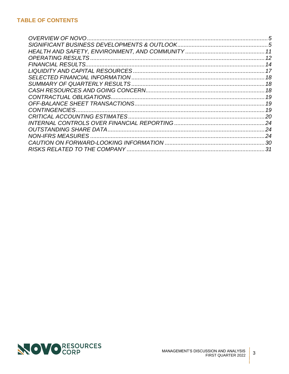| 5   |
|-----|
|     |
|     |
|     |
|     |
|     |
|     |
|     |
|     |
|     |
|     |
|     |
|     |
|     |
|     |
| .24 |
|     |
| .31 |

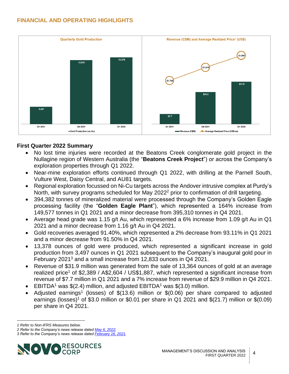

# <span id="page-3-0"></span>**First Quarter 2022 Summary**

- No lost time injuries were recorded at the Beatons Creek conglomerate gold project in the Nullagine region of Western Australia (the "**Beatons Creek Project**") or across the Company's exploration properties through Q1 2022.
- Near-mine exploration efforts continued through Q1 2022, with drilling at the Parnell South, Vulture West, Daisy Central, and AU81 targets.
- Regional exploration focussed on Ni-Cu targets across the Andover intrusive complex at Purdy's North, with survey programs scheduled for May 2022<sup>2</sup> prior to confirmation of drill targeting.
- <span id="page-3-1"></span>• 394,382 tonnes of mineralized material were processed through the Company's Golden Eagle processing facility (the "**Golden Eagle Plant**"), which represented a 164% increase from 149,577 tonnes in Q1 2021 and a minor decrease from 395,310 tonnes in Q4 2021.
- Average head grade was 1.15 g/t Au, which represented a 6% increase from 1.09 g/t Au in Q1 2021 and a minor decrease from 1.16 g/t Au in Q4 2021.
- Gold recoveries averaged 91.40%, which represented a 2% decrease from 93.11% in Q1 2021 and a minor decrease from 91.50% in Q4 2021.
- 13,378 ounces of gold were produced, which represented a significant increase in gold production from 3,497 ounces in Q1 2021 subsequent to the Company's inaugural gold pour in February 2021<sup>3</sup> and a small increase from 12,833 ounces in Q4 2021.
- <span id="page-3-2"></span>• Revenue of \$31.9 million was generated from the sale of 13,364 ounces of gold at an average realized price<sup>[1](#page-3-0)</sup> of \$2,389 / A\$2,604 / US\$1,887, which represented a significant increase from revenue of \$7.7 million in Q1 2021 and a 7% increase from revenue of \$29.9 million in Q4 2021.
- EBITDA<sup>[1](#page-3-0)</sup> was  $$(2.4)$  million, and adjusted EBITDA<sup>1</sup> was  $$(3.0)$  million.
- Adjusted earnings<sup>[1](#page-3-0)</sup> (losses) of  $$(13.6)$  million or  $$(0.06)$  per share compared to adjusted earnings (losses)<sup>[1](#page-3-0)</sup> of \$3.0 million or \$0.01 per share in Q1 2021 and  $$(21.7)$  million or  $$(0.09)$ per share in Q4 2021.

*<sup>3</sup> Refer to the Company's news release date[d February 16, 2021.](https://novoresources.com/wp-content/uploads/2022/01/2021-02-16.pdf)*



*<sup>1</sup> Refer to Non-IFRS Measures below.*

*<sup>2</sup> Refer to the Company's news release date[d May 6, 2022.](https://novoresources.com/wp-content/uploads/2022/05/Novo-Commences-Geophysical-Surveys-in-the-West-Pilbara-FINAL.pdf)*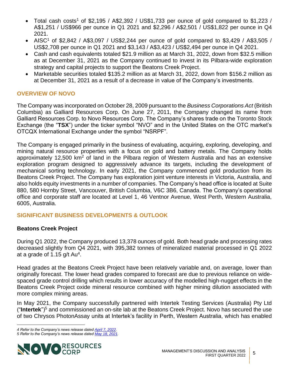- Total cash costs<sup>[1](#page-3-0)</sup> of \$2,195 / A\$2,392 / US\$1,733 per ounce of gold compared to \$1,223 / A\$1,251 / US\$966 per ounce in Q1 2021 and \$2,296 / A\$2,501 / US\$1,822 per ounce in Q4 2021.
- AISC<sup>[1](#page-3-0)</sup> of \$2,842 / A\$3,097 / US\$2,244 per ounce of gold compared to \$3,429 / A\$3,505 / US\$2,708 per ounce in Q1 2021 and \$3,143 / A\$3,423 / US\$2,494 per ounce in Q4 2021.
- Cash and cash equivalents totaled \$21.9 million as at March 31, 2022, down from \$32.5 million as at December 31, 2021 as the Company continued to invest in its Pilbara-wide exploration strategy and capital projects to support the Beatons Creek Project.
- Marketable securities totaled \$135.2 million as at March 31, 2022, down from \$156.2 million as at December 31, 2021 as a result of a decrease in value of the Company's investments.

# <span id="page-4-0"></span>**OVERVIEW OF NOVO**

The Company was incorporated on October 28, 2009 pursuant to the *Business Corporations Act* (British Columbia) as Galliard Resources Corp. On June 27, 2011, the Company changed its name from Galliard Resources Corp. to Novo Resources Corp. The Company's shares trade on the Toronto Stock Exchange (the "**TSX**") under the ticker symbol "NVO" and in the United States on the OTC market's OTCQX International Exchange under the symbol "NSRPF".

The Company is engaged primarily in the business of evaluating, acquiring, exploring, developing, and mining natural resource properties with a focus on gold and battery metals. The Company holds approximately 12,500  $km^2$  of land in the Pilbara region of Western Australia and has an extensive exploration program designed to aggressively advance its targets, including the development of mechanical sorting technology. In early 2021, the Company commenced gold production from its Beatons Creek Project. The Company has exploration joint venture interests in Victoria, Australia, and also holds equity investments in a number of companies. The Company's head office is located at Suite 880, 580 Hornby Street, Vancouver, British Columbia, V6C 3B6, Canada. The Company's operational office and corporate staff are located at Level 1, 46 Ventnor Avenue, West Perth, Western Australia, 6005, Australia.

# <span id="page-4-1"></span>**SIGNIFICANT BUSINESS DEVELOPMENTS & OUTLOOK**

# **Beatons Creek Project**

<span id="page-4-2"></span>During Q1 2022, the Company produced 13,378 ounces of gold. Both head grade and processing rates decreased slightly from Q4 2021, with 395,382 tonnes of mineralized material processed in Q1 2022 at a grade of 1.15 g/t  $Au<sup>4</sup>$ .

Head grades at the Beatons Creek Project have been relatively variable and, on average, lower than originally forecast. The lower head grades compared to forecast are due to previous reliance on widespaced grade control drilling which results in lower accuracy of the modelled high-nugget effects in the Beatons Creek Project oxide mineral resource combined with higher mining dilution associated with more complex mining areas.

<span id="page-4-3"></span>In May 2021, the Company successfully partnered with Intertek Testing Services (Australia) Pty Ltd ("**Intertek**")<sup>5</sup> and commissioned an on-site lab at the Beatons Creek Project. Novo has secured the use of two Chrysos PhotonAssay units at Intertek's facility in Perth, Western Australia, which has enabled

*<sup>5</sup> Refer to the Company's news release date[d May 18, 2021.](https://www.novoresources.com/news-media/news/display/index.php?content_id=458)* 



*<sup>4</sup> Refer to the Company's news release date[d April 7, 2022.](https://novoresources.com/wp-content/uploads/2022/04/Novo-Q1-22-Ops-Update-FINAL.pdf?_ga=2.147866096.614899599.1650922133-441614328.1650922133&_gl=1*18yf6hk*_ga*NDQxNjE0MzI4LjE2NTA5MjIxMzM.*_ga_GZ8D5VXBV5*MTY1MDkyNDE5Ny4yLjAuMTY1MDkyNDE5Ny4w)*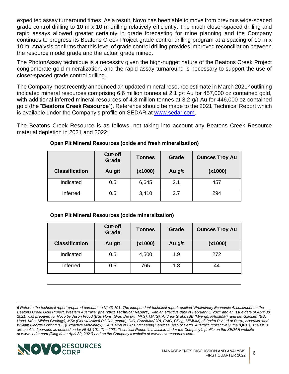expedited assay turnaround times. As a result, Novo has been able to move from previous wide-spaced grade control drilling to 10 m x 10 m drilling relatively efficiently. The much closer-spaced drilling and rapid assays allowed greater certainty in grade forecasting for mine planning and the Company continues to progress its Beatons Creek Project grade control drilling program at a spacing of 10 m x 10 m. Analysis confirms that this level of grade control drilling provides improved reconciliation between the resource model grade and the actual grade mined.

The PhotonAssay technique is a necessity given the high-nugget nature of the Beatons Creek Project conglomerate gold mineralization, and the rapid assay turnaround is necessary to support the use of closer-spaced grade control drilling.

The Company most recently announced an updated mineral resource estimate in March 2021<sup>6</sup> outlining indicated mineral resources comprising 6.6 million tonnes at 2.1 g/t Au for 457,000 oz contained gold, with additional inferred mineral resources of 4.3 million tonnes at 3.2 g/t Au for 446,000 oz contained gold (the "**Beatons Creek Resource**"). Reference should be made to the 2021 Technical Report which is available under the Company's profile on SEDAR at [www.sedar.com.](http://www.sedar.com/)

The Beatons Creek Resource is as follows, not taking into account any Beatons Creek Resource material depletion in 2021 and 2022:

|                       | Cut-off<br>Grade | <b>Tonnes</b> | Grade  | <b>Ounces Troy Au</b> |
|-----------------------|------------------|---------------|--------|-----------------------|
| <b>Classification</b> | Au g/t           | (x1000)       | Au g/t | (x1000)               |
| Indicated             | 0.5              | 6,645         | 2.1    | 457                   |
| Inferred              | 0.5              | 3,410         | 2.7    | 294                   |

<span id="page-5-0"></span>**Open Pit Mineral Resources (oxide and fresh mineralization)**

|  |  |  | <b>Open Pit Mineral Resources (oxide mineralization)</b> |  |
|--|--|--|----------------------------------------------------------|--|
|  |  |  |                                                          |  |

|                       | <b>Cut-off</b><br>Grade | <b>Tonnes</b> | Grade  | <b>Ounces Troy Au</b> |
|-----------------------|-------------------------|---------------|--------|-----------------------|
| <b>Classification</b> | Au g/t                  | (x1000)       | Au g/t | (x1000)               |
| Indicated             | 0.5                     | 4,500         | 1.9    | 272                   |
| Inferred              | 0.5                     | 765           | 1.8    | 44                    |

*<sup>6</sup> Refer to the technical report prepared pursuant to NI 43-101. The independent technical report, entitled "Preliminary Economic Assessment on the Beatons Creek Gold Project, Western Australia" (the "2021 Technical Report"), with an effective date of February 5, 2021 and an issue date of April 30, 2021, was prepared for Novo by Jason Froud (BSc Hons, Grad Dip (Fin Mkts), MAIG), Andrew Grubb (BE (Mining), FAusIMM), and Ian Glacken (BSc Hons, MSc (Mining Geology), MSc (Geostatistics) PGCert (comp), DIC, FAusIMM(CP), FAIG, CEng, MIMMM) of Optiro Pty Ltd of Perth, Australia, and William George Gosling (BE (Extractive Metallurgy), FAusIMM) of GR Engineering Services, also of Perth, Australia (collectively, the "QPs"). The QP's*  are qualified persons as defined under NI 43-101. The 2021 Technical Report is available under the Company's profile on the SEDAR website *at [www.sedar.com](https://www.globenewswire.com/Tracker?data=M0VlImKGTppj-BAla07qNecKZcnxMtbTjVP81g_mchH5CvmVwTcZ_11pAjyQCtQ3qDymCz94UQwlwVuqcWlhAsL_8PuQj-RP1vwX0Yv7pLw0qDzwDIBUz2TpqEtPYMRbIGntCya1jGluG1kE2aO2sXKX5aAFPqn5ipSMXeFutgUdQm7W55AJqnlyORmxscYNkyAOO8DPPEGQAEgp7i7UD3eB29IkFtfMUqOmOUUG2po=) (filing date: April 30, 2021) and on the Company's website at [www.novoresources.com.](https://www.globenewswire.com/Tracker?data=nw4_oswsbSgSD6OH-PEP9zEbrvfNvziBSZ6_ZFgAAOm5hIXkSB1wTJaRsg5XB6_om09mAxSkKhtpfSkSeImfLbBdRAKjGp5UYIbRl-HOAjMNa4rN1ZuWtccId6Bt3hCKpuMHWftvkHQqM5FE5KUK_0zGAvaGnL9JZxwedVq8yYkd9WFfkBdwd0teWDegsqVLOLZ39orNy4GHZSzp2KgY0q_p4Ywfa-PTok0zYWl-ZF2-KtENQ85mXvVPmg0HeFwN7dsg-FHA5LGFmbUjyQhVFQ==)*

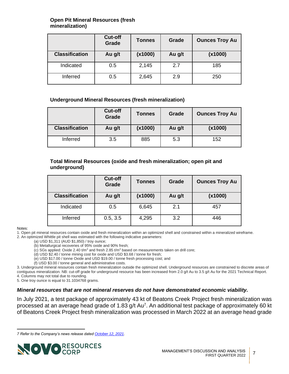#### **Open Pit Mineral Resources (fresh mineralization)**

|                       | <b>Cut-off</b><br><b>Grade</b> | <b>Tonnes</b> | Grade  | <b>Ounces Troy Au</b> |
|-----------------------|--------------------------------|---------------|--------|-----------------------|
| <b>Classification</b> | Au g/t                         | (x1000)       | Au g/t | (x1000)               |
| Indicated             | 0.5                            | 2,145         | 2.7    | 185                   |
| Inferred              | 0.5                            | 2,645         | 2.9    | 250                   |

#### **Underground Mineral Resources (fresh mineralization)**

|                       | <b>Cut-off</b><br>Grade | Tonnes  | Grade  | <b>Ounces Troy Au</b> |
|-----------------------|-------------------------|---------|--------|-----------------------|
| <b>Classification</b> | Au g/t                  | (x1000) | Au g/t | (x1000)               |
| Inferred              | 3.5                     | 885     | 5.3    | 152                   |

#### **Total Mineral Resources (oxide and fresh mineralization; open pit and underground)**

|                       | Cut-off<br>Grade | <b>Tonnes</b> | Grade  | <b>Ounces Troy Au</b> |
|-----------------------|------------------|---------------|--------|-----------------------|
| <b>Classification</b> | Au g/t           | (x1000)       | Au g/t | (x1000)               |
| Indicated             | 0.5              | 6,645         | 2.1    | 457                   |
| Inferred              | 0.5, 3.5         | 4,295         | 3.2    | 446                   |

#### Notes:

1. Open pit mineral resources contain oxide and fresh mineralization within an optimized shell and constrained within a mineralized wireframe. 2. An optimized Whittle pit shell was estimated with the following indicative parameters:

(a) USD \$1,311 (AUD \$1,850) / troy ounce;

(b) Metallurgical recoveries of 95% oxide and 90% fresh;

(c) SGs applied: Oxide 2.40 t/m<sup>3</sup> and fresh 2.85 t/m<sup>3</sup> based on measurements taken on drill core;

(d) USD \$2.40 / tonne mining cost for oxide and USD \$3.68 / tonne for fresh;

(e) USD \$17.00 / tonne Oxide and USD \$19.00 / tonne fresh processing cost; and

<span id="page-6-0"></span>(f) USD \$3.00 / tonne general and administrative costs.

3. Underground mineral resources contain fresh mineralization outside the optimized shell. Underground resources are constrained to discrete areas of contiguous mineralization. NB: cut-off grade for underground resource has been increased from 2.0 g/t Au to 3.5 g/t Au for the 2021 Technical Report. 4. Columns may not total due to rounding.

5. One troy ounce is equal to 31.1034768 grams.

#### *Mineral resources that are not mineral reserves do not have demonstrated economic viability.*

In July 2021, a test package of approximately 43 kt of Beatons Creek Project fresh mineralization was processed at an average head grade of 1.83 g/t Au<sup>7</sup>. An additional test package of approximately 60 kt of Beatons Creek Project fresh mineralization was processed in March 2022 at an average head grade

*<sup>7</sup> Refer to the Company's news release date[d October 12, 2021.](https://novoresources.com/wp-content/uploads/2022/01/2021-10-12-1.pdf)*

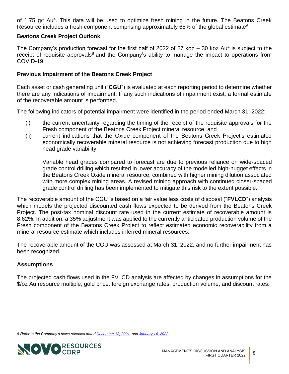of 1.75 g/t Au<sup>[4](#page-4-2)</sup>. This data will be used to optimize fresh mining in the future. The Beatons Creek Resource includes a fresh component comprising approximately [6](#page-5-0)5% of the global estimate<sup>6</sup>.

#### **Beatons Creek Project Outlook**

The Company's production forecast for the first half of 2022 of 27 koz  $-$  30 koz Au<sup>[4](#page-4-2)</sup> is subject to the receipt of requisite approvals<sup>8</sup> and the Company's ability to manage the impact to operations from COVID-19.

# **Previous Impairment of the Beatons Creek Project**

Each asset or cash generating unit ("**CGU**") is evaluated at each reporting period to determine whether there are any indications of impairment. If any such indications of impairment exist, a formal estimate of the recoverable amount is performed.

The following indicators of potential impairment were identified in the period ended March 31, 2022:

- (i) the current uncertainty regarding the timing of the receipt of the requisite approvals for the Fresh component of the Beatons Creek Project mineral resource, and
- (ii) current indications that the Oxide component of the Beatons Creek Project's estimated economically recoverable mineral resource is not achieving forecast production due to high head grade variability.

Variable head grades compared to forecast are due to previous reliance on wide-spaced grade control drilling which resulted in lower accuracy of the modelled high-nugget effects in the Beatons Creek Oxide mineral resource, combined with higher mining dilution associated with more complex mining areas. A revised mining approach with continued closer-spaced grade control drilling has been implemented to mitigate this risk to the extent possible.

The recoverable amount of the CGU is based on a fair value less costs of disposal ("**FVLCD**") analysis which models the projected discounted cash flows expected to be derived from the Beatons Creek Project. The post-tax nominal discount rate used in the current estimate of recoverable amount is 8.62%. In addition, a 35% adjustment was applied to the currently anticipated production volume of the Fresh component of the Beatons Creek Project to reflect estimated economic recoverability from a mineral resource estimate which includes inferred mineral resources.

The recoverable amount of the CGU was assessed at March 31, 2022, and no further impairment has been recognized.

# **Assumptions**

The projected cash flows used in the FVLCD analysis are affected by changes in assumptions for the \$/oz Au resource multiple, gold price, foreign exchange rates, production volume, and discount rates.

*<sup>8</sup> Refer to the Company's news releases date[d December 13, 2021,](https://novoresources.com/wp-content/uploads/2022/01/2021-12-13.pdf) and [January 14, 2022.](https://novoresources.com/wp-content/uploads/2022/01/2022-01-14.pdf)*

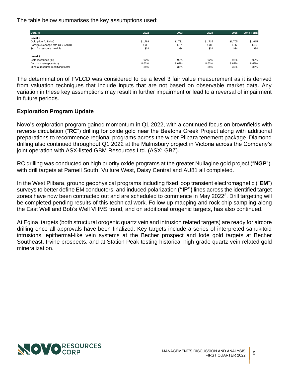The table below summarises the key assumptions used:

| <b>Details</b>                    | 2022    | 2023    | 2024    | 2025    | Long-Term |
|-----------------------------------|---------|---------|---------|---------|-----------|
| Level 2                           |         |         |         |         |           |
| Gold price (US\$/oz)              | \$1,789 | \$1,731 | \$1.715 | \$1.705 | \$1,615   |
| Foreign exchange rate (USD/AUD)   | 1.38    | 1.37    | 1.37    | 1.36    | 1.36      |
| \$/oz Au resource multiple        | \$34    | \$34    | \$34    | \$34    | \$34      |
| Level 3                           |         |         |         |         |           |
| Gold recoveries (%)               | 92%     | 92%     | 92%     | 92%     | 92%       |
| Discount rate (post-tax)          | 8.62%   | 8.62%   | 8.62%   | 8.62%   | 8.62%     |
| Mineral resource modifying factor | 35%     | 35%     | 35%     | 35%     | 35%       |

The determination of FVLCD was considered to be a level 3 fair value measurement as it is derived from valuation techniques that include inputs that are not based on observable market data. Any variation in these key assumptions may result in further impairment or lead to a reversal of impairment in future periods.

# **Exploration Program Update**

Novo's exploration program gained momentum in Q1 2022, with a continued focus on brownfields with reverse circulation ("**RC**") drilling for oxide gold near the Beatons Creek Project along with additional preparations to recommence regional programs across the wider Pilbara tenement package. Diamond drilling also continued throughout Q1 2022 at the Malmsbury project in Victoria across the Company's joint operation with ASX-listed GBM Resources Ltd. (ASX: GBZ).

RC drilling was conducted on high priority oxide programs at the greater Nullagine gold project ("**NGP**"), with drill targets at Parnell South, Vulture West, Daisy Central and AU81 all completed.

In the West Pilbara, ground geophysical programs including fixed loop transient electromagnetic ("**EM**") surveys to better define EM conductors, and induced polarization **("IP")** lines across the identified target zones have now been contracted out and are scheduled to commence in May [2](#page-3-1)022<sup>2</sup>. Drill targeting will be completed pending results of this technical work. Follow up mapping and rock chip sampling along the East Well and Bob's Well VHMS trend, and on additional orogenic targets, has also continued.

At Egina, targets (both structural orogenic quartz vein and intrusion related targets) are ready for aircore drilling once all approvals have been finalized. Key targets include a series of interpreted sanukitoid intrusions, epithermal-like vein systems at the Becher prospect and lode gold targets at Becher Southeast, Irvine prospects, and at Station Peak testing historical high-grade quartz-vein related gold mineralization.

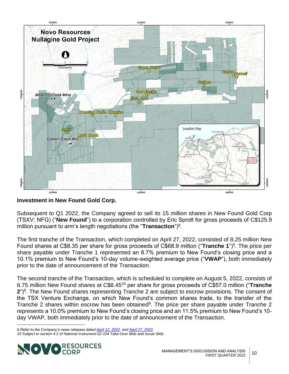

**Investment in New Found Gold Corp.**

<span id="page-9-0"></span>Subsequent to Q1 2022, the Company agreed to sell its 15 million shares in New Found Gold Corp (TSXV: NFG) ("**New Found**") to a corporation controlled by Eric Sprott for gross proceeds of C\$125.9 million pursuant to arm's length negotiations (the "**Transaction**")<sup>9</sup> .

The first tranche of the Transaction, which completed on April 27, 2022, consisted of 8.25 million New Found shares at C\$8.35 per share for gross proceeds of C\$68.[9](#page-9-0) million ("Tranche 1")<sup>9</sup>. The price per share payable under Tranche 1 represented an 8.7% premium to New Found's closing price and a 10.1% premium to New Found's 10-day volume-weighted average price ("**VWAP**"), both immediately prior to the date of announcement of the Transaction.

The second tranche of the Transaction, which is scheduled to complete on August 5, 2022, consists of 6.75 million New Found shares at C\$8.45<sup>10</sup> per share for gross proceeds of C\$57.0 million ("**Tranche 2**")[9](#page-9-0) . The New Found shares representing Tranche 2 are subject to escrow provisions. The consent of the TSX Venture Exchange, on which New Found's common shares trade, to the transfer of the Tranche 2 shares within escrow has been obtained<sup>[9](#page-9-0)</sup>. The price per share payable under Tranche 2 represents a 10.0% premium to New Found's closing price and an 11.5% premium to New Found's 10 day VWAP, both immediately prior to the date of announcement of the Transaction.

*<sup>9</sup> Refer to the Company's news releases date[d April 12, 2022,](https://novoresources.com/wp-content/uploads/2022/04/220411-Novo-NFG-Sale-News-Release-FINAL.pdf?_ga=2.69117526.614899599.1650922133-441614328.1650922133&_gl=1*4nv8xb*_ga*NDQxNjE0MzI4LjE2NTA5MjIxMzM.*_ga_GZ8D5VXBV5*MTY1MDkyMjEzMi4xLjAuMTY1MDkyMjEzMi4w) and [April 27, 2022.](https://novoresources.com/wp-content/uploads/2022/04/Novo-NFG-Tranche-1-Completion-FINAL.pdf) 10 Subject to section 4.2 of National Instrument 62-104 Take-Over Bids and Issuer Bids.*

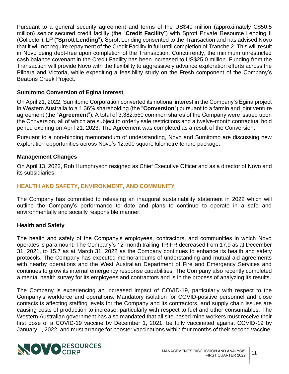Pursuant to a general security agreement and terms of the US\$40 million (approximately C\$50.5 million) senior secured credit facility (the "**Credit Facility**") with Sprott Private Resource Lending II (Collector), LP ("**Sprott Lending**"), Sprott Lending consented to the Transaction and has advised Novo that it will not require repayment of the Credit Facility in full until completion of Tranche 2. This will result in Novo being debt-free upon completion of the Transaction. Concurrently, the minimum unrestricted cash balance covenant in the Credit Facility has been increased to US\$25.0 million. Funding from the Transaction will provide Novo with the flexibility to aggressively advance exploration efforts across the Pilbara and Victoria, while expediting a feasibility study on the Fresh component of the Company's Beatons Creek Project.

# **Sumitomo Conversion of Egina Interest**

On April 21, 2022, Sumitomo Corporation converted its notional interest in the Company's Egina project in Western Australia to a 1.36% shareholding (the "**Conversion**") pursuant to a farmin and joint venture agreement (the "**Agreement**"). A total of 3,382,550 common shares of the Company were issued upon the Conversion, all of which are subject to orderly sale restrictions and a twelve-month contractual hold period expiring on April 21, 2023. The Agreement was completed as a result of the Conversion.

Pursuant to a non-binding memorandum of understanding, Novo and Sumitomo are discussing new exploration opportunities across Novo's 12,500 square kilometre tenure package.

#### **Management Changes**

On April 13, 2022, Rob Humphryson resigned as Chief Executive Officer and as a director of Novo and its subsidiaries.

# <span id="page-10-0"></span>**HEALTH AND SAFETY, ENVIRONMENT, AND COMMUNITY**

The Company has committed to releasing an inaugural sustainability statement in 2022 which will outline the Company's performance to date and plans to continue to operate in a safe and environmentally and socially responsible manner.

#### **Health and Safety**

The health and safety of the Company's employees, contractors, and communities in which Novo operates is paramount. The Company's 12-month trailing TRIFR decreased from 17.9 as at December 31, 2021, to 15.7 as at March 31, 2022 as the Company continues to enhance its health and safety protocols. The Company has executed memorandums of understanding and mutual aid agreements with nearby operations and the West Australian Department of Fire and Emergency Services and continues to grow its internal emergency response capabilities. The Company also recently completed a mental health survey for its employees and contractors and is in the process of analyzing its results.

The Company is experiencing an increased impact of COVID-19, particularly with respect to the Company's workforce and operations. Mandatory isolation for COVID-positive personnel and close contacts is affecting staffing levels for the Company and its contractors, and supply chain issues are causing costs of production to increase, particularly with respect to fuel and other consumables. The Western Australian government has also mandated that all site-based mine workers must receive their first dose of a COVID-19 vaccine by December 1, 2021, be fully vaccinated against COVID-19 by January 1, 2022, and must arrange for booster vaccinations within four months of their second vaccine.

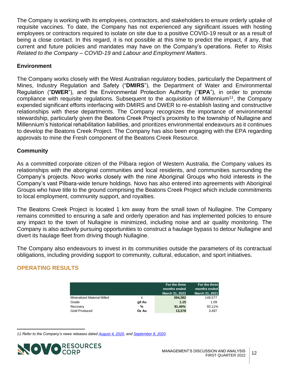The Company is working with its employees, contractors, and stakeholders to ensure orderly uptake of requisite vaccines. To date, the Company has not experienced any significant issues with hosting employees or contractors required to isolate on site due to a positive COVID-19 result or as a result of being a close contact. In this regard, it is not possible at this time to predict the impact, if any, that current and future policies and mandates may have on the Company's operations. Refer to *Risks Related to the Company – COVID-19* and *Labour and Employment Matters*.

# **Environment**

The Company works closely with the West Australian regulatory bodies, particularly the Department of Mines, Industry Regulation and Safety ("**DMIRS**"), the Department of Water and Environmental Regulation ("**DWER**"), and the Environmental Protection Authority ("**EPA**"), in order to promote compliance with requisite regulations. Subsequent to the acquisition of Millennium<sup>11</sup>, the Company expended significant efforts interfacing with DMIRS and DWER to re-establish lasting and constructive relationships with these departments. The Company recognizes the importance of environmental stewardship, particularly given the Beatons Creek Project's proximity to the township of Nullagine and Millennium's historical rehabilitation liabilities, and prioritizes environmental endeavours as it continues to develop the Beatons Creek Project. The Company has also been engaging with the EPA regarding approvals to mine the Fresh component of the Beatons Creek Resource.

# **Community**

As a committed corporate citizen of the Pilbara region of Western Australia, the Company values its relationships with the aboriginal communities and local residents, and communities surrounding the Company's projects. Novo works closely with the nine Aboriginal Groups who hold interests in the Company's vast Pilbara-wide tenure holdings. Novo has also entered into agreements with Aboriginal Groups who have title to the ground comprising the Beatons Creek Project which include commitments to local employment, community support, and royalties.

The Beatons Creek Project is located 1 km away from the small town of Nullagine. The Company remains committed to ensuring a safe and orderly operation and has implemented policies to ensure any impact to the town of Nullagine is minimized, including noise and air quality monitoring. The Company is also actively pursuing opportunities to construct a haulage bypass to detour Nullagine and divert its haulage fleet from driving though Nullagine.

The Company also endeavours to invest in its communities outside the parameters of its contractual obligations, including providing support to community, cultural, education, and sport initiatives.

# <span id="page-11-0"></span>**OPERATING RESULTS**

|                             |        | For the three  | For the three  |
|-----------------------------|--------|----------------|----------------|
|                             |        | months ended   | months ended   |
|                             |        | March 31, 2022 | March 31, 2021 |
| Mineralized Material Milled |        | 394.382        | 149,577        |
| Grade                       | g/t Au | 1.15           | 1.09           |
| Recovery                    | %      | 91.40%         | 93.11%         |
| Gold Produced               | Oz Au  | 13,378         | 3.497          |

*<sup>11</sup> Refer to the Company's news releases dated [August 4, 2020,](https://www.novoresources.com/news-media/news/display/index.php?content_id=402) and [September 8, 2020.](https://www.novoresources.com/news-media/news/display/index.php?content_id=406)*

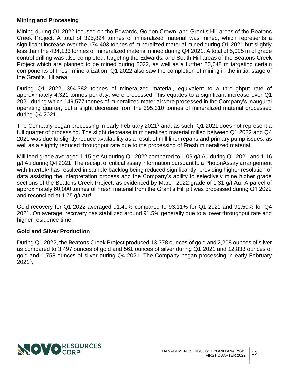# **Mining and Processing**

Mining during Q1 2022 focused on the Edwards, Golden Crown, and Grant's Hill areas of the Beatons Creek Project. A total of 395,824 tonnes of mineralized material was mined, which represents a significant increase over the 174,403 tonnes of mineralized material mined during Q1 2021 but slightly less than the 434,133 tonnes of mineralized material mined during Q4 2021. A total of 5,025 m of grade control drilling was also completed, targeting the Edwards, and South Hill areas of the Beatons Creek Project which are planned to be mined during 2022, as well as a further 20,648 m targeting certain components of Fresh mineralization. Q1 2022 also saw the completion of mining in the initial stage of the Grant's Hill area.

During Q1 2022, 394,382 tonnes of mineralized material, equivalent to a throughput rate of approximately 4,321 tonnes per day, were processed This equates to a significant increase over Q1 2021 during which 149,577 tonnes of mineralized material were processed in the Company's inaugural operating quarter, but a slight decrease from the 395,310 tonnes of mineralized material processed during Q4 2021.

The Company began processing in early February 2021<sup>[3](#page-3-2)</sup> and, as such, Q1 2021 does not represent a full quarter of processing. The slight decrease in mineralized material milled between Q1 2022 and Q4 2021 was due to slightly reduce availability as a result of mill liner repairs and primary pump issues, as well as a slightly reduced throughput rate due to the processing of Fresh mineralized material.

Mill feed grade averaged 1.15 g/t Au during Q1 2022 compared to 1.09 g/t Au during Q1 2021 and 1.16 g/t Au during Q4 2021. The receipt of critical assay information pursuant to a PhotonAssay arrangement with Intertek<sup>[5](#page-4-3)</sup> has resulted in sample backlog being reduced significantly, providing higher resolution of data assisting the interpretation process and the Company's ability to selectively mine higher grade sections of the Beatons Creek Project, as evidenced by March 2022 grade of 1.31 g/t Au. A parcel of approximately 60,000 tonnes of Fresh material from the Grant's Hill pit was processed during Q1 2022 and reconciled at 1.75 g/t Au<sup>[4](#page-4-2)</sup>.

Gold recovery for Q1 2022 averaged 91.40% compared to 93.11% for Q1 2021 and 91.50% for Q4 2021. On average, recovery has stabilized around 91.5% generally due to a lower throughput rate and higher residence time.

#### **Gold and Silver Production**

During Q1 2022, the Beatons Creek Project produced 13,378 ounces of gold and 2,208 ounces of silver as compared to 3,497 ounces of gold and 561 ounces of silver during Q1 2021 and 12,833 ounces of gold and 1,758 ounces of silver during Q4 2021. The Company began processing in early February 2021[3](#page-3-2) .

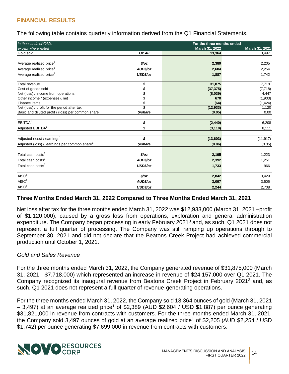# <span id="page-13-0"></span>**FINANCIAL RESULTS**

The following table contains quarterly information derived from the Q1 Financial Statements.

| In thousands of CAD.                                     |               | For the three months ended |                |
|----------------------------------------------------------|---------------|----------------------------|----------------|
| except where noted                                       |               | March 31, 2022             | March 31, 2021 |
| Gold sold                                                | Oz Au         | 13,364                     | 3,497          |
| Average realized price <sup>1</sup>                      | $\frac{2}{2}$ | 2,389                      | 2,205          |
| Average realized price <sup>1</sup>                      | AUD\$/oz      | 2,604                      | 2,254          |
| Average realized price <sup>1</sup>                      | USD\$/oz      | 1,887                      | 1,742          |
| Total revenue                                            |               | 31,875                     | 7,718          |
| Cost of goods sold                                       |               | (37, 375)                  | (7, 718)       |
| Net (loss) / income from operations                      |               | (8,039)                    | 4,447          |
| Other income / (expenses), net                           |               | 670                        | (1,903)        |
| Finance items                                            |               | (64)                       | (1, 424)       |
| Net (loss) / profit for the period after tax             |               | (12, 933)                  | 1,120          |
| Basic and diluted profit / (loss) per common share       | \$/share      | (0.05)                     | 0.00           |
| EBITDA <sup>1</sup>                                      | \$            | (2, 440)                   | 6,208          |
| Adjusted EBITDA <sup>1</sup>                             |               | (3, 110)                   | 8,111          |
| Adjusted (loss) / earnings <sup>1</sup>                  | \$            | (13,603)                   | (11, 917)      |
| Adjusted (loss) / earnings per common share <sup>1</sup> | \$/share      | (0.06)                     | (0.05)         |
| Total cash costs <sup>1</sup>                            | $\frac{6}{2}$ | 2,195                      | 1,223          |
| Total cash costs <sup>1</sup>                            | AUD\$/oz      | 2,392                      | 1,251          |
| Total cash costs <sup>1</sup>                            | USD\$/oz      | 1,733                      | 966            |
|                                                          |               |                            |                |
| AISC <sup>1</sup>                                        | $\frac{6}{2}$ | 2,842                      | 3,429          |
| AISC <sup>1</sup>                                        | AUD\$/oz      | 3,097                      | 3,505          |
| AISC <sup>1</sup>                                        | USD\$/oz      | 2,244                      | 2,708          |

#### **Three Months Ended March 31, 2022 Compared to Three Months Ended March 31, 2021**

Net loss after tax for the three months ended March 31, 2022 was \$12,933,000 (March 31, 2021 –profit of \$1,120,000), caused by a gross loss from operations, exploration and general administration expenditure. The Company began processing in early February 2021<sup>[3](#page-3-2)</sup> and, as such, Q1 2021 does not represent a full quarter of processing. The Company was still ramping up operations through to September 30, 2021 and did not declare that the Beatons Creek Project had achieved commercial production until October 1, 2021.

#### *Gold and Sales Revenue*

For the three months ended March 31, 2022, the Company generated revenue of \$31,875,000 (March 31, 2021 - \$7,718,000) which represented an increase in revenue of \$24,157,000 over Q1 2021. The Company recognized its inaugural revenue from Beatons Creek Project in February 2021[3](#page-3-2) and, as such, Q1 2021 does not represent a full quarter of revenue-generating operations.

For the three months ended March 31, 2022, the Company sold 13,364 ounces of gold (March 31, 2021  $-$  3,497) at an average realized price<sup>[1](#page-3-0)</sup> of \$2,389 (AUD \$2,604 / USD \$1,887) per ounce generating \$31,821,000 in revenue from contracts with customers. For the three months ended March 31, 2021, the Company sold 3,497 ounces of gold at an average realized price<sup>[1](#page-3-0)</sup> of \$2,205 (AUD \$2,254 / USD \$1,742) per ounce generating \$7,699,000 in revenue from contracts with customers.

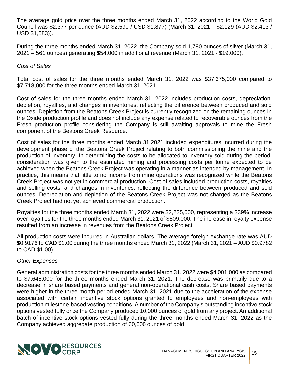The average gold price over the three months ended March 31, 2022 according to the World Gold Council was \$2,377 per ounce (AUD \$2,590 / USD \$1,877) (March 31, 2021 – \$2,129 (AUD \$2,413 / USD \$1,583)).

During the three months ended March 31, 2022, the Company sold 1,780 ounces of silver (March 31, 2021 – 561 ounces) generating \$54,000 in additional revenue (March 31, 2021 - \$19,000).

# *Cost of Sales*

Total cost of sales for the three months ended March 31, 2022 was \$37,375,000 compared to \$7,718,000 for the three months ended March 31, 2021.

Cost of sales for the three months ended March 31, 2022 includes production costs, depreciation, depletion, royalties, and changes in inventories, reflecting the difference between produced and sold ounces. Depletion from the Beatons Creek Project is currently recognized on the remaining ounces in the Oxide production profile and does not include any expense related to recoverable ounces from the Fresh production profile considering the Company is still awaiting approvals to mine the Fresh component of the Beatons Creek Resource.

Cost of sales for the three months ended March 31,2021 included expenditures incurred during the development phase of the Beatons Creek Project relating to both commissioning the mine and the production of inventory. In determining the costs to be allocated to inventory sold during the period, consideration was given to the estimated mining and processing costs per tonne expected to be achieved when the Beatons Creek Project was operating in a manner as intended by management. In practice, this means that little to no income from mine operations was recognized while the Beatons Creek Project was not yet in commercial production. Cost of sales included production costs, royalties and selling costs, and changes in inventories, reflecting the difference between produced and sold ounces. Depreciation and depletion of the Beatons Creek Project was not charged as the Beatons Creek Project had not yet achieved commercial production.

Royalties for the three months ended March 31, 2022 were \$2,235,000, representing a 339% increase over royalties for the three months ended March 31, 2021 of \$509,000. The increase in royalty expense resulted from an increase in revenues from the Beatons Creek Project.

All production costs were incurred in Australian dollars. The average foreign exchange rate was AUD \$0.9176 to CAD \$1.00 during the three months ended March 31, 2022 (March 31, 2021 – AUD \$0.9782 to CAD \$1.00).

#### *Other Expenses*

General administration costs for the three months ended March 31, 2022 were \$4,001,000 as compared to \$7,645,000 for the three months ended March 31, 2021. The decrease was primarily due to a decrease in share based payments and general non-operational cash costs. Share based payments were higher in the three-month period ended March 31, 2021 due to the acceleration of the expense associated with certain incentive stock options granted to employees and non-employees with production milestone-based vesting conditions. A number of the Company's outstanding incentive stock options vested fully once the Company produced 10,000 ounces of gold from any project. An additional batch of incentive stock options vested fully during the three months ended March 31, 2022 as the Company achieved aggregate production of 60,000 ounces of gold.

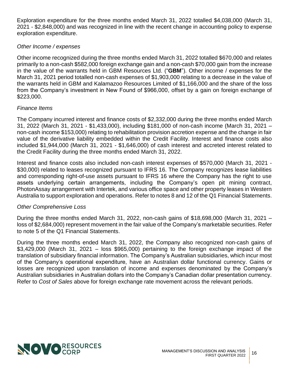Exploration expenditure for the three months ended March 31, 2022 totalled \$4,038,000 (March 31, 2021 - \$2,848,000) and was recognized in line with the recent change in accounting policy to expense exploration expenditure.

# *Other Income / expenses*

Other income recognized during the three months ended March 31, 2022 totalled \$670,000 and relates primarily to a non-cash \$582,000 foreign exchange gain and a non-cash \$70,000 gain from the increase in the value of the warrants held in GBM Resources Ltd. ("**GBM**"). Other income / expenses for the March 31, 2021 period totalled non-cash expenses of \$1,903,000 relating to a decrease in the value of the warrants held in GBM and Kalamazoo Resources Limited of \$1,166,000 and the share of the loss from the Company's investment in New Found of \$966,000, offset by a gain on foreign exchange of \$223,000.

# *Finance Items*

The Company incurred interest and finance costs of \$2,332,000 during the three months ended March 31, 2022 (March 31, 2021 - \$1,433,000), including \$181,000 of non-cash income (March 31, 2021 – non-cash income \$153,000) relating to rehabilitation provision accretion expense and the change in fair value of the derivative liability embedded within the Credit Facility. Interest and finance costs also included \$1,944,000 (March 31, 2021 - \$1,646,000) of cash interest and accreted interest related to the Credit Facility during the three months ended March 31, 2022.

Interest and finance costs also included non-cash interest expenses of \$570,000 (March 31, 2021 - \$30,000) related to leases recognized pursuant to IFRS 16. The Company recognizes lease liabilities and corresponding right-of-use assets pursuant to IFRS 16 where the Company has the right to use assets underlying certain arrangements, including the Company's open pit mining contract, PhotonAssay arrangement with Intertek, and various office space and other property leases in Western Australia to support exploration and operations. Refer to notes 8 and 12 of the Q1 Financial Statements.

#### *Other Comprehensive Loss*

During the three months ended March 31, 2022, non-cash gains of \$18,698,000 (March 31, 2021 – loss of \$2,684,000) represent movement in the fair value of the Company's marketable securities. Refer to note 5 of the Q1 Financial Statements.

During the three months ended March 31, 2022, the Company also recognized non-cash gains of  $$3,429,000$  (March 31, 2021 – loss  $$965,000$ ) pertaining to the foreign exchange impact of the translation of subsidiary financial information. The Company's Australian subsidiaries, which incur most of the Company's operational expenditure, have an Australian dollar functional currency. Gains or losses are recognized upon translation of income and expenses denominated by the Company's Australian subsidiaries in Australian dollars into the Company's Canadian dollar presentation currency. Refer to *Cost of Sales* above for foreign exchange rate movement across the relevant periods.

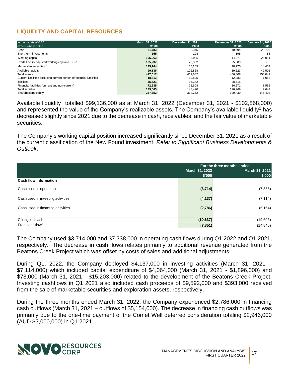# <span id="page-16-0"></span>**LIQUIDITY AND CAPITAL RESOURCES**

| In thousands of CAD.                                                   | <b>March 31, 2022</b> | December 31, 2021 | December 31, 2020 | <b>January 31, 2020</b> |
|------------------------------------------------------------------------|-----------------------|-------------------|-------------------|-------------------------|
| except where noted                                                     | \$'000                | \$'000            | \$'000            | \$'000                  |
| Cash                                                                   | 21,783                | 32,345            | 40.494            | 28.703                  |
| Short-term investments                                                 | 155                   | 108               | 195               | 88                      |
| Working capital <sup>1</sup>                                           | 105,063               | 3.925             | 14.071            | 26,051                  |
| Credit Facility adjusted working capital (USD) <sup>1</sup>            | 105,237               | 23,332            | 25,089            |                         |
| Marketable securities                                                  | 135.164               | 156.209           | 18.770            | 14,457                  |
| Available liquidity <sup>1</sup>                                       | 99.136                | 102.868           | 59.623            | 42.501                  |
| Total assets                                                           | 427,017               | 462,682           | 456.408           | 158,049                 |
| Current liabilities excluding current portion of financial liabilities | 18.813                | 19.805            | 12.083            | 1.082                   |
| liabilities                                                            | 35,721                | 36,342            | 28,615            |                         |
| Financial liabilities (current and non-current)                        | 72.635                | 75.608            | 86.271            | 8,565                   |
| <b>Total liabilities</b>                                               | 139,665               | 148.420           | 126.969           | 9,647                   |
| Shareholders' equity                                                   | 287.352               | 314.262           | 329.439           | 148.402                 |

Available liquidity<sup>[1](#page-3-0)</sup> totalled \$99,136,000 as at March 31, 2022 (December 31, 2021 - \$102,868,000) and represented the value of the Company's realizable assets. The Company's available liquidity<sup>[1](#page-3-0)</sup> has decreased slightly since 2021 due to the decrease in cash, receivables, and the fair value of marketable securities.

The Company's working capital position increased significantly since December 31, 2021 as a result of the current classification of the New Found investment. *Refer to Significant Business Developments & Outlook*.

| For the three months ended |                                                                   |  |
|----------------------------|-------------------------------------------------------------------|--|
| March 31, 2022             | March 31, 2021                                                    |  |
|                            | \$'000                                                            |  |
|                            |                                                                   |  |
|                            | (7, 338)                                                          |  |
|                            |                                                                   |  |
|                            | (7, 114)                                                          |  |
|                            |                                                                   |  |
|                            | (5, 154)                                                          |  |
|                            |                                                                   |  |
|                            | (19,606)                                                          |  |
|                            | (14, 845)                                                         |  |
|                            | \$'000<br>(3,714)<br>(4, 137)<br>(2,786)<br>(10, 637)<br>(7, 851) |  |

The Company used \$3,714,000 and \$7,338,000 in operating cash flows during Q1 2022 and Q1 2021, respectively. The decrease in cash flows relates primarily to additional revenue generated from the Beatons Creek Project which was offset by costs of sales and additional adjustments.

During Q1, 2022, the Company deployed \$4,137,000 in investing activities (March 31, 2021 – \$7,114,000) which included capital expenditure of \$4,064,000 (March 31, 2021 - \$1,896,000) and \$73,000 (March 31, 2021 - \$15,203,000) related to the development of the Beatons Creek Project. Investing cashflows in Q1 2021 also included cash proceeds of \$9,592,000 and \$393,000 received from the sale of marketable securities and exploration assets, respectively.

During the three months ended March 31, 2022, the Company experienced \$2,786,000 in financing cash outflows (March 31, 2021 – outflows of \$5,154,000). The decrease in financing cash outflows was primarily due to the one-time payment of the Comet Well deferred consideration totaling \$2,946,000 (AUD \$3,000,000) in Q1 2021.

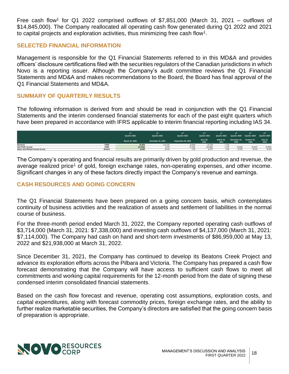Free cash flow<sup>[1](#page-3-0)</sup> for Q1 2022 comprised outflows of \$7,851,000 (March 31, 2021 – outflows of \$14,845,000). The Company reallocated all operating cash flow generated during Q1 2022 and 2021 to capital projects and exploration activities, thus minimizing free cash flow<sup>[1](#page-3-0)</sup>.

#### <span id="page-17-0"></span>**SELECTED FINANCIAL INFORMATION**

Management is responsible for the Q1 Financial Statements referred to in this MD&A and provides officers' disclosure certifications filed with the securities regulators of the Canadian jurisdictions in which Novo is a reporting issuer. Although the Company's audit committee reviews the Q1 Financial Statements and MD&A and makes recommendations to the Board, the Board has final approval of the Q1 Financial Statements and MD&A.

# <span id="page-17-1"></span>**SUMMARY OF QUARTERLY RESULTS**

The following information is derived from and should be read in conjunction with the Q1 Financial Statements and the interim condensed financial statements for each of the past eight quarters which have been prepared in accordance with IFRS applicable to interim financial reporting including IAS 34.

|                                 |          | Quarter 2022<br>March 31, 2022 | Quarter 2021<br>December 31, 2021 | Quarter 2021<br>September 30, 2021 | Quarter 2021<br><b>June 30,</b><br>2021 | Quarter 2021<br>March 31.<br>2021 | Quarter 2020<br>December 31,<br>2020 | Quarter 2020<br>October 31,<br>2020 | Quarter 2020<br>July 31,<br>2020 |
|---------------------------------|----------|--------------------------------|-----------------------------------|------------------------------------|-----------------------------------------|-----------------------------------|--------------------------------------|-------------------------------------|----------------------------------|
| Revenue                         | \$'000   | 31.875                         | 112.243                           | 42.964                             | 31.704                                  | 7.718                             |                                      |                                     |                                  |
| Net Profit / (Loss)             | \$'000   | (12, 933)                      | 3,076                             | 87,836                             | (15, 582)                               | 1.723                             | (3,826)                              | (3,927)                             | (5,952)                          |
| Basic and Diluted Income (Loss) | \$/share | (0.05)                         | (0.02)                            | 0.33                               | (0.07)                                  | 0.05                              | (0.02)                               | (0.02)                              | (0.03)                           |

The Company's operating and financial results are primarily driven by gold production and revenue, the average realized price<sup>[1](#page-3-0)</sup> of gold, foreign exchange rates, non-operating expenses, and other income. Significant changes in any of these factors directly impact the Company's revenue and earnings.

# <span id="page-17-2"></span>**CASH RESOURCES AND GOING CONCERN**

The Q1 Financial Statements have been prepared on a going concern basis, which contemplates continuity of business activities and the realization of assets and settlement of liabilities in the normal course of business.

For the three-month period ended March 31, 2022, the Company reported operating cash outflows of \$3,714,000 (March 31, 2021: \$7,338,000) and investing cash outflows of \$4,137,000 (March 31, 2021: \$7,114,000). The Company had cash on hand and short-term investments of \$86,959,000 at May 13, 2022 and \$21,938,000 at March 31, 2022.

Since December 31, 2021, the Company has continued to develop its Beatons Creek Project and advance its exploration efforts across the Pilbara and Victoria. The Company has prepared a cash flow forecast demonstrating that the Company will have access to sufficient cash flows to meet all commitments and working capital requirements for the 12-month period from the date of signing these condensed interim consolidated financial statements.

Based on the cash flow forecast and revenue, operating cost assumptions, exploration costs, and capital expenditures, along with forecast commodity prices, foreign exchange rates, and the ability to further realize marketable securities, the Company's directors are satisfied that the going concern basis of preparation is appropriate.

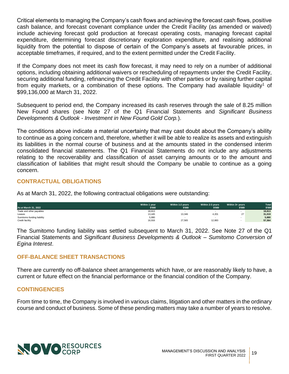Critical elements to managing the Company's cash flows and achieving the forecast cash flows, positive cash balance, and forecast covenant compliance under the Credit Facility (as amended or waived) include achieving forecast gold production at forecast operating costs, managing forecast capital expenditure, determining forecast discretionary exploration expenditure, and realising additional liquidity from the potential to dispose of certain of the Company's assets at favourable prices, in acceptable timeframes, if required, and to the extent permitted under the Credit Facility.

If the Company does not meet its cash flow forecast, it may need to rely on a number of additional options, including obtaining additional waivers or rescheduling of repayments under the Credit Facility, securing additional funding, refinancing the Credit Facility with other parties or by raising further capital from equity markets, or a combination of these options. The Company had available liquidity<sup>[1](#page-3-0)</sup> of \$99,136,000 at March 31, 2022.

Subsequent to period end, the Company increased its cash reserves through the sale of 8.25 million New Found shares (see Note 27 of the Q1 Financial Statements and *Significant Business Developments & Outlook - Investment in New Found Gold Corp.*).

The conditions above indicate a material uncertainty that may cast doubt about the Company's ability to continue as a going concern and, therefore, whether it will be able to realize its assets and extinguish its liabilities in the normal course of business and at the amounts stated in the condensed interim consolidated financial statements. The Q1 Financial Statements do not include any adjustments relating to the recoverability and classification of asset carrying amounts or to the amount and classification of liabilities that might result should the Company be unable to continue as a going concern.

# <span id="page-18-0"></span>**CONTRACTUAL OBLIGATIONS**

As at March 31, 2022, the following contractual obligations were outstanding:

| As at March 31, 2022       | Within 1 year<br>\$'000 | Within 1-2 years<br>\$'000 | Within 2-3 years<br>\$'000 | Within 3+ vears<br>\$'000 | Total<br>\$'000 |
|----------------------------|-------------------------|----------------------------|----------------------------|---------------------------|-----------------|
| Trade and other payables   | 18,813                  |                            |                            |                           | 18,813          |
| Leases                     | 13,445                  | 13,346                     | 4,201                      | 27                        | 31,019          |
| Sumitomo funding liability | 5,880                   |                            |                            |                           | 5,880           |
| Credit facility            | 16,916                  | 27,565                     | 12,883                     |                           | 57,364          |

<span id="page-18-1"></span>The Sumitomo funding liability was settled subsequent to March 31, 2022. See Note 27 of the Q1 Financial Statements and *Significant Business Developments & Outlook – Sumitomo Conversion of Egina Interest*.

#### **OFF-BALANCE SHEET TRANSACTIONS**

There are currently no off-balance sheet arrangements which have, or are reasonably likely to have, a current or future effect on the financial performance or the financial condition of the Company.

#### <span id="page-18-2"></span>**CONTINGENCIES**

From time to time, the Company is involved in various claims, litigation and other matters in the ordinary course and conduct of business. Some of these pending matters may take a number of years to resolve.

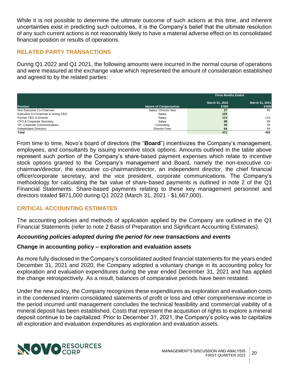While it is not possible to determine the ultimate outcome of such actions at this time, and inherent uncertainties exist in predicting such outcomes, it is the Company's belief that the ultimate resolution of any such current actions is not reasonably likely to have a material adverse effect on its consolidated financial position or results of operations.

# **RELATED PARTY TRANSACTIONS**

During Q1 2022 and Q1 2021, the following amounts were incurred in the normal course of operations and were measured at the exchange value which represented the amount of consideration established and agreed to by the related parties:

|                                    |                               | <b>Three Months Ended</b> |                          |
|------------------------------------|-------------------------------|---------------------------|--------------------------|
| <b>Position</b>                    | <b>Nature of Compensation</b> | March 31, 2022<br>\$'000  | March 31, 2021<br>\$'000 |
| Non Executive Co-Chairman          | Salary / Director fees        | 27                        | 95                       |
| Executive Co-Chairman & Acting CEO | Salary                        | 125                       |                          |
| Former CEO & Director              | Salary                        | 113                       | 110                      |
| CFO & Corporate Secretary          | Salary                        | 98                        | 89                       |
| VP, Corporate Communications       | Consulting                    | 45                        | 45                       |
| <b>Independent Directors</b>       | Director Fees                 | 64                        | 94                       |
| Total                              |                               | 471                       | 433                      |

From time to time, Novo's board of directors (the "**Board**") incentivizes the Company's management, employees, and consultants by issuing incentive stock options. Amounts outlined in the table above represent such portion of the Company's share-based payment expenses which relate to incentive stock options granted to the Company's management and Board, namely the non-executive cochairman/director, the executive co-chairman/director, an independent director, the chief financial officer/corporate secretary, and the vice president, corporate communications. The Company's methodology for calculating the fair value of share-based payments is outlined in note 2 of the Q1 Financial Statements. Share-based payments relating to these key management personnel and directors totaled \$871,000 during Q1 2022 (March 31, 2021 - \$1,667,000).

# <span id="page-19-0"></span>**CRITICAL ACCOUNTING ESTIMATES**

The accounting policies and methods of application applied by the Company are outlined in the Q1 Financial Statements (refer to note 2 Basis of Preparation and Significant Accounting Estimates).

#### *Accounting policies adopted during the period for new transactions and events*

#### **Change in accounting policy – exploration and evaluation assets**

As more fully disclosed in the Company's consolidated audited financial statements for the years ended December 31, 2021 and 2020, the Company adopted a voluntary change in its accounting policy for exploration and evaluation expenditures during the year ended December 31, 2021 and has applied the change retrospectively. As a result, balances of comparative periods have been restated.

Under the new policy, the Company recognizes these expenditures as exploration and evaluation costs in the condensed interim consolidated statements of profit or loss and other comprehensive income in the period incurred until management concludes the technical feasibility and commercial viability of a mineral deposit has been established. Costs that represent the acquisition of rights to explore a mineral deposit continue to be capitalized. Prior to December 31, 2021, the Company's policy was to capitalize all exploration and evaluation expenditures as exploration and evaluation assets.

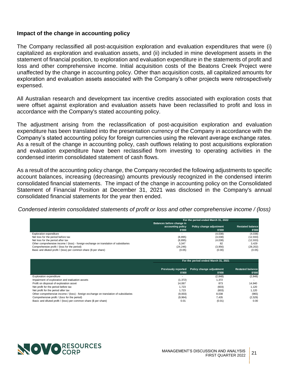#### **Impact of the change in accounting policy**

The Company reclassified all post-acquisition exploration and evaluation expenditures that were (i) capitalized as exploration and evaluation assets, and (ii) included in mine development assets in the statement of financial position, to exploration and evaluation expenditure in the statements of profit and loss and other comprehensive income. Initial acquisition costs of the Beatons Creek Project were unaffected by the change in accounting policy. Other than acquisition costs, all capitalized amounts for exploration and evaluation assets associated with the Company's other projects were retrospectively expensed.

All Australian research and development tax incentive credits associated with exploration costs that were offset against exploration and evaluation assets have been reclassified to profit and loss in accordance with the Company's stated accounting policy.

The adjustment arising from the reclassification of post-acquisition exploration and evaluation expenditure has been translated into the presentation currency of the Company in accordance with the Company's stated accounting policy for foreign currencies using the relevant average exchange rates. As a result of the change in accounting policy, cash outflows relating to post acquisitions exploration and evaluation expenditure have been reclassified from investing to operating activities in the condensed interim consolidated statement of cash flows.

As a result of the accounting policy change, the Company recorded the following adjustments to specific account balances, increasing (decreasing) amounts previously recognized in the condensed interim consolidated financial statements. The impact of the change in accounting policy on the Consolidated Statement of Financial Position at December 31, 2021 was disclosed in the Company's annual consolidated financial statements for the year then ended.

*Condensed interim consolidated statements of profit or loss and other comprehensive income / (loss)*

|                                                                                       | For the period ended March 31, 2022 |                          |                         |  |  |
|---------------------------------------------------------------------------------------|-------------------------------------|--------------------------|-------------------------|--|--|
|                                                                                       | Balances before change in           |                          |                         |  |  |
|                                                                                       | accounting policy                   | Policy change adjustment | <b>Restated balance</b> |  |  |
|                                                                                       | \$'000                              | \$'000                   | \$'000                  |  |  |
| <b>Exploration expenditure</b>                                                        |                                     | (4,038)                  | (4,038)                 |  |  |
| Net loss for the period before tax                                                    | (8,895)                             | (4,038)                  | (12, 933)               |  |  |
| Net loss for the period after tax                                                     | (8,895)                             | (4,038)                  | (12, 933)               |  |  |
| Other comprehensive income / (loss) - foreign exchange on translation of subsidiaries | 3.347                               | 82                       | 3.429                   |  |  |
| Comprehensive profit / (loss for the period)                                          | (24, 246)                           | (3,956)                  | (28, 202)               |  |  |
| Basic and diluted profit / (loss) per common share (\$ per share)                     | (0.05)                              | (0.00)                   | (0.05)                  |  |  |

|                                                                                       | For the period ended March 31, 2021  |                                    |                                   |  |
|---------------------------------------------------------------------------------------|--------------------------------------|------------------------------------|-----------------------------------|--|
|                                                                                       | <b>Previously reported</b><br>\$'000 | Policy change adjustment<br>\$'000 | <b>Restated balance</b><br>\$'000 |  |
| <b>Exploration expenditure</b>                                                        | $\overline{\phantom{a}}$             | (2,848)                            | (2, 848)                          |  |
| Impairment of exploration and evaluation assets                                       | (1, 372)                             | 1,372                              |                                   |  |
| Profit on disposal of exploration asset                                               | 14.067                               | 873                                | 14.940                            |  |
| Net profit for the period before tax                                                  | 1.723                                | (603)                              | 1.120                             |  |
| Net profit for the period after tax                                                   | 1.723                                | (603)                              | 1.120                             |  |
| Other comprehensive income / (loss) - foreign exchange on translation of subsidiaries | (9,003)                              | 8.038                              | (965)                             |  |
| Comprehensive profit / (loss for the period)                                          | (9,964)                              | 7.435                              | (2,529)                           |  |
| Basic and diluted profit / (loss) per common share (\$ per share)                     | 0.01                                 | (0.01)                             | 0.00                              |  |

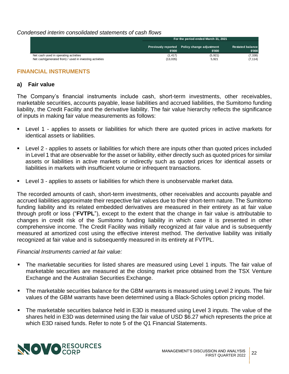#### *Condensed interim consolidated statements of cash flows*

|                                                          | For the period ended March 31, 2021 |                                                        |                                   |  |  |
|----------------------------------------------------------|-------------------------------------|--------------------------------------------------------|-----------------------------------|--|--|
|                                                          | \$'000                              | Previously reported Policy change adjustment<br>\$'000 | <b>Restated balance</b><br>\$'000 |  |  |
| Net cash used in operating activities                    | (1, 417)                            | (5, 921)                                               | (7, 338)                          |  |  |
| Net cash (generated from) / used in investing activities | (13,035)                            | 5.921                                                  | (7, 114)                          |  |  |

#### **FINANCIAL INSTRUMENTS**

#### **a) Fair value**

The Company's financial instruments include cash, short-term investments, other receivables, marketable securities, accounts payable, lease liabilities and accrued liabilities, the Sumitomo funding liability, the Credit Facility and the derivative liability. The fair value hierarchy reflects the significance of inputs in making fair value measurements as follows:

- Level 1 applies to assets or liabilities for which there are quoted prices in active markets for identical assets or liabilities.
- Level 2 applies to assets or liabilities for which there are inputs other than quoted prices included in Level 1 that are observable for the asset or liability, either directly such as quoted prices for similar assets or liabilities in active markets or indirectly such as quoted prices for identical assets or liabilities in markets with insufficient volume or infrequent transactions.
- Level 3 applies to assets or liabilities for which there is unobservable market data.

The recorded amounts of cash, short-term investments, other receivables and accounts payable and accrued liabilities approximate their respective fair values due to their short-term nature. The Sumitomo funding liability and its related embedded derivatives are measured in their entirety as at fair value through profit or loss ("**FVTPL**"), except to the extent that the change in fair value is attributable to changes in credit risk of the Sumitomo funding liability in which case it is presented in other comprehensive income. The Credit Facility was initially recognized at fair value and is subsequently measured at amortized cost using the effective interest method. The derivative liability was initially recognized at fair value and is subsequently measured in its entirety at FVTPL.

#### *Financial Instruments carried at fair value:*

- **The marketable securities for listed shares are measured using Level 1 inputs. The fair value of** marketable securities are measured at the closing market price obtained from the TSX Venture Exchange and the Australian Securities Exchange.
- The marketable securities balance for the GBM warrants is measured using Level 2 inputs. The fair values of the GBM warrants have been determined using a Black-Scholes option pricing model.
- **•** The marketable securities balance held in E3D is measured using Level 3 inputs. The value of the shares held in E3D was determined using the fair value of USD \$6.27 which represents the price at which E3D raised funds. Refer to note 5 of the Q1 Financial Statements.

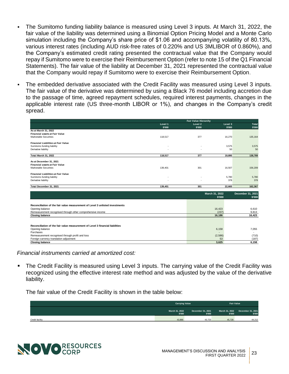- The Sumitomo funding liability balance is measured using Level 3 inputs. At March 31, 2022, the fair value of the liability was determined using a Binomial Option Pricing Model and a Monte Carlo simulation including the Company's share price of \$1.06 and accompanying volatility of 80.13%, various interest rates (including AUD risk-free rates of 0.220% and US 3MLIBOR of 0.860%), and the Company's estimated credit rating presented the contractual value that the Company would repay if Sumitomo were to exercise their Reimbursement Option (refer to note 15 of the Q1 Financial Statements). The fair value of the liability at December 31, 2021 represented the contractual value that the Company would repay if Sumitomo were to exercise their Reimbursement Option.
- The embedded derivative associated with the Credit Facility was measured using Level 3 inputs. The fair value of the derivative was determined by using a Black 76 model including accretion due to the passage of time, agreed repayment schedules, required interest payments, changes in the applicable interest rate (US three-month LIBOR or 1%), and changes in the Company's credit spread.

|                                                                               |                          | <b>Fair Value Hierarchy</b> |                |                   |
|-------------------------------------------------------------------------------|--------------------------|-----------------------------|----------------|-------------------|
|                                                                               | Level 1                  | Level 2                     | Level 3        | Total             |
|                                                                               | \$'000                   | \$'000                      | \$'000         | \$'000            |
| As at March 31, 2022                                                          |                          |                             |                |                   |
| <b>Financial assets at Fair Value</b>                                         |                          |                             |                |                   |
| <b>Marketable Securities</b>                                                  | 118,517                  | 377                         | 16,270         | 135,164           |
| <b>Financial Liabilities at Fair Value</b>                                    |                          |                             |                |                   |
| Sumitomo funding liability                                                    |                          |                             | 3.575          | 3,575             |
| Derivative liability                                                          |                          |                             | 50             | 50                |
| Total March 31, 2022                                                          | 118,517                  | 377                         | 19.895         | 138,789           |
| As at December 31, 2021                                                       |                          |                             |                |                   |
| <b>Financial assets at Fair Value</b>                                         |                          |                             |                |                   |
| Marketable Securities                                                         | 139,401                  | 301                         | 16,507         | 156,209           |
|                                                                               |                          |                             |                |                   |
| <b>Financial Liabilities at Fair Value</b>                                    |                          |                             |                |                   |
| Sumitomo funding liability                                                    | $\overline{\phantom{a}}$ |                             | 5,780          | 5,780             |
| Derivative liability                                                          | $\overline{\phantom{a}}$ |                             | 378            | 378               |
| Total December 31, 2021                                                       | 139,401                  | 301                         | 22,665         | 162,367           |
|                                                                               |                          |                             |                |                   |
|                                                                               |                          |                             | March 31, 2022 | December 31, 2021 |
|                                                                               |                          |                             | \$'000         | \$'000            |
|                                                                               |                          |                             |                |                   |
| Reconciliation of the fair value measurement of Level 3 unlisted investments  |                          |                             |                |                   |
| Opening balance                                                               |                          |                             | 16,423         | 6,610             |
| Remeasurement recognised through other comprehensive income                   |                          |                             | (237)          | 9,813             |
| <b>Closing balance</b>                                                        |                          |                             | 16,186         | 16,423            |
|                                                                               |                          |                             |                |                   |
|                                                                               |                          |                             |                |                   |
| Reconciliation of the fair value measurement of Level 3 financial liabilities |                          |                             |                |                   |
| Opening balance                                                               |                          |                             | 6,158          | 7,055             |
| Purchases                                                                     |                          |                             |                | $\sim$            |
| Remeasurement recognised through profit and loss                              |                          |                             | (2,586)        | (710)             |
| Foreign currency translation adjustment                                       |                          |                             | 53             | (187)             |
| <b>Closing balance</b>                                                        |                          |                             | 3.625          | 6,158             |

*Financial instruments carried at amortized cost:*

**•** The Credit Facility is measured using Level 3 inputs. The carrying value of the Credit Facility was recognized using the effective interest rate method and was adjusted by the value of the derivative liability.

The fair value of the Credit Facility is shown in the table below:

|                 | <b>Carrying Value</b>    |                             | <b>Fair Value</b>        |                             |
|-----------------|--------------------------|-----------------------------|--------------------------|-----------------------------|
|                 | March 31, 2022<br>\$'000 | December 31, 2021<br>\$'000 | March 31, 2022<br>\$'000 | December 31, 2021<br>\$'000 |
| Credit facility | 43.888                   | 43.723                      | 45.728                   | 44,212                      |

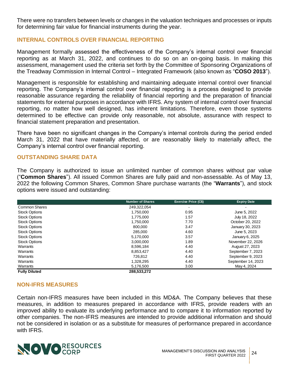There were no transfers between levels or changes in the valuation techniques and processes or inputs for determining fair value for financial instruments during the year.

# <span id="page-23-0"></span>**INTERNAL CONTROLS OVER FINANCIAL REPORTING**

Management formally assessed the effectiveness of the Company's internal control over financial reporting as at March 31, 2022, and continues to do so on an on-going basis. In making this assessment, management used the criteria set forth by the Committee of Sponsoring Organizations of the Treadway Commission in Internal Control – Integrated Framework (also known as "**COSO 2013**").

Management is responsible for establishing and maintaining adequate internal control over financial reporting. The Company's internal control over financial reporting is a process designed to provide reasonable assurance regarding the reliability of financial reporting and the preparation of financial statements for external purposes in accordance with IFRS. Any system of internal control over financial reporting, no matter how well designed, has inherent limitations. Therefore, even those systems determined to be effective can provide only reasonable, not absolute, assurance with respect to financial statement preparation and presentation.

There have been no significant changes in the Company's internal controls during the period ended March 31, 2022 that have materially affected, or are reasonably likely to materially affect, the Company's internal control over financial reporting.

# <span id="page-23-1"></span>**OUTSTANDING SHARE DATA**

The Company is authorized to issue an unlimited number of common shares without par value ("**Common Shares**"). All issued Common Shares are fully paid and non-assessable. As of May 13, 2022 the following Common Shares, Common Share purchase warrants (the "**Warrants**"), and stock options were issued and outstanding:

|                      | <b>Number of Shares</b> | Exercise Price (C\$)     | <b>Expiry Date</b> |
|----------------------|-------------------------|--------------------------|--------------------|
| Common Shares        | 249,322,054             | $\overline{\phantom{0}}$ |                    |
| <b>Stock Options</b> | 1,750,000               | 0.95                     | June 5, 2022       |
| <b>Stock Options</b> | 1,775,000               | 1.57                     | July 18, 2022      |
| <b>Stock Options</b> | 1,750,000               | 7.70                     | October 20, 2022   |
| <b>Stock Options</b> | 800,000                 | 3.47                     | January 30, 2023   |
| <b>Stock Options</b> | 285,000                 | 4.60                     | June 5, 2023       |
| <b>Stock Options</b> | 5,170,000               | 3.57                     | January 6, 2025    |
| <b>Stock Options</b> | 3.000.000               | 1.89                     | November 22, 2026  |
| Warrants             | 8,596,184               | 4.40                     | August 27, 2023    |
| Warrants             | 8,853,427               | 4.40                     | September 7, 2023  |
| Warrants             | 726,812                 | 4.40                     | September 9, 2023  |
| Warrants             | 1,328,295               | 4.40                     | September 14, 2023 |
| Warrants             | 5,176,500               | 3.00                     | May 4, 2024        |
| <b>Fully Diluted</b> | 288,533,272             |                          |                    |

#### <span id="page-23-2"></span>**NON-IFRS MEASURES**

Certain non-IFRS measures have been included in this MD&A. The Company believes that these measures, in addition to measures prepared in accordance with IFRS, provide readers with an improved ability to evaluate its underlying performance and to compare it to information reported by other companies. The non-IFRS measures are intended to provide additional information and should not be considered in isolation or as a substitute for measures of performance prepared in accordance with IFRS.

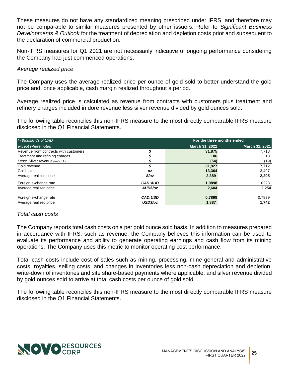These measures do not have any standardized meaning prescribed under IFRS, and therefore may not be comparable to similar measures presented by other issuers. Refer to *Significant Business Developments & Outlook* for the treatment of depreciation and depletion costs prior and subsequent to the declaration of commercial production.

Non-IFRS measures for Q1 2021 are not necessarily indicative of ongoing performance considering the Company had just commenced operations.

#### *Average realized price*

The Company uses the average realized price per ounce of gold sold to better understand the gold price and, once applicable, cash margin realized throughout a period.

Average realized price is calculated as revenue from contracts with customers plus treatment and refinery charges included in dore revenue less silver revenue divided by gold ounces sold.

The following table reconciles this non-IFRS measure to the most directly comparable IFRS measure disclosed in the Q1 Financial Statements.

| In thousands of CAD.                  | For the three months ended |                       |                |
|---------------------------------------|----------------------------|-----------------------|----------------|
| except where noted                    |                            | <b>March 31, 2022</b> | March 31, 2021 |
| Revenue from contracts with customers |                            | 31,875                | 7,718          |
| Treatment and refining charges        |                            | 106                   | 13             |
| Less: Silver revenue (Note 17)        |                            | (54)                  | (19)           |
| Gold revenue                          |                            | 31,927                | 7,712          |
| Gold sold                             | OZ.                        | 13,364                | 3,497          |
| Average realized price                | $\frac{2}{2}$              | 2,389                 | 2,205          |
| Foreign exchange rate                 | <b>CAD:AUD</b>             | 1.0898                | 1.0223         |
| Average realized price                | AUD\$/oz                   | 2,604                 | 2.254          |
| Foreign exchange rate                 | <b>CAD:USD</b>             | 0.7898                | 0.7899         |
| Average realized price                | USD\$/oz                   | 1.887                 | 1.742          |

#### *Total cash costs*

The Company reports total cash costs on a per gold ounce sold basis. In addition to measures prepared in accordance with IFRS, such as revenue, the Company believes this information can be used to evaluate its performance and ability to generate operating earnings and cash flow from its mining operations. The Company uses this metric to monitor operating cost performance.

Total cash costs include cost of sales such as mining, processing, mine general and administrative costs, royalties, selling costs, and changes in inventories less non-cash depreciation and depletion, write-down of inventories and site share-based payments where applicable, and silver revenue divided by gold ounces sold to arrive at total cash costs per ounce of gold sold.

The following table reconciles this non-IFRS measure to the most directly comparable IFRS measure disclosed in the Q1 Financial Statements.

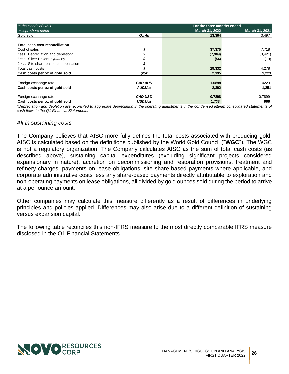| In thousands of CAD.                |                | For the three months ended |                |
|-------------------------------------|----------------|----------------------------|----------------|
| except where noted                  |                | March 31, 2022             | March 31, 2021 |
| Gold sold                           | Oz Au          | 13.364                     | 3,497          |
| Total cash cost reconciliation      |                |                            |                |
| Cost of sales                       |                | 37,375                     | 7,718          |
| Less: Depreciation and depletion*   |                | (7,989)                    | (3, 421)       |
| Less: Silver Revenue (Note 17)      |                | (54)                       | (19)           |
| Less: Site share-based compensation |                | $\blacksquare$             |                |
| Total cash costs                    |                | 29,332                     | 4,278          |
| Cash costs per oz of gold sold      | $\frac{2}{2}$  | 2,195                      | 1,223          |
| Foreign exchange rate               | <b>CAD:AUD</b> | 1.0898                     | 1.0223         |
| Cash costs per oz of gold sold      | AUD\$/oz       | 2,392                      | 1,251          |
| Foreign exchange rate               | <b>CAD:USD</b> | 0.7898                     | 0.7899         |
| Cash costs per oz of gold sold      | USD\$/oz       | 1,733                      | 966            |

*\*Depreciation and depletion are reconciled to aggregate depreciation in the operating adjustments in the condensed interim consolidated statements of cash flows in the Q1 Financial Statements.*

#### *All-in sustaining costs*

The Company believes that AISC more fully defines the total costs associated with producing gold. AISC is calculated based on the definitions published by the World Gold Council ("**WGC**"). The WGC is not a regulatory organization. The Company calculates AISC as the sum of total cash costs (as described above), sustaining capital expenditures (excluding significant projects considered expansionary in nature), accretion on decommissioning and restoration provisions, treatment and refinery charges, payments on lease obligations, site share-based payments where applicable, and corporate administrative costs less any share-based payments directly attributable to exploration and non-operating payments on lease obligations, all divided by gold ounces sold during the period to arrive at a per ounce amount.

Other companies may calculate this measure differently as a result of differences in underlying principles and policies applied. Differences may also arise due to a different definition of sustaining versus expansion capital.

The following table reconciles this non-IFRS measure to the most directly comparable IFRS measure disclosed in the Q1 Financial Statements.

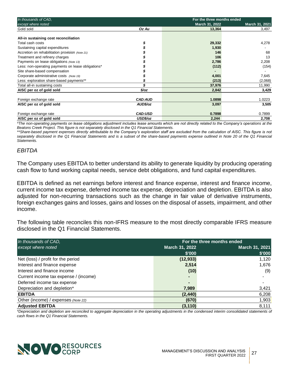| In thousands of CAD,                               | For the three months ended |                |                |
|----------------------------------------------------|----------------------------|----------------|----------------|
| except where noted                                 |                            | March 31, 2022 | March 31, 2021 |
| Gold sold                                          | Oz Au                      | 13,364         | 3,497          |
|                                                    |                            |                |                |
| All-in sustaining cost reconciliation              |                            |                |                |
| Total cash costs                                   |                            | 29,332         | 4,278          |
| Sustaining capital expenditures                    |                            | 1,930          |                |
| Accretion on rehabilitation provision (Note 21)    |                            | 146            | 68             |
| Treatment and refinery charges                     |                            | 106            | 13             |
| Payments on lease obligations (Note 13)            |                            | 2,786          | 2,208          |
| Less: non-operating payments on lease obligations* |                            | (112)          | (154)          |
| Site share-based compensation                      |                            |                |                |
| Corporate administrative costs (Note 19)           |                            | 4,001          | 7,645          |
| Less: exploration share-based payments**           |                            | (213)          | (2,068)        |
| Total all-in sustaining costs                      |                            | 37,976         | 11,990         |
| AISC per oz of gold sold                           | \$/oz                      | 2,842          | 3,429          |
|                                                    |                            |                |                |
| Foreign exchange rate                              | <b>CAD:AUD</b>             | 1.0898         | 1.0223         |
| AISC per oz of gold sold                           | AUD\$/oz                   | 3,097          | 3,505          |
|                                                    |                            |                |                |
| Foreign exchange rate                              | <b>CAD:USD</b>             | 0.7898         | 0.7899         |
| AISC per oz of gold sold                           | USD\$/oz                   | 2,244          | 2,708          |

*\*The non-operating payments on lease obligations adjustment includes lease amounts which are not directly related to the Company's operations at the Beatons Creek Project. This figure is not separately disclosed in the Q1 Financial Statements.* 

\*\*Share-based payment expenses directly attributable to the Company's exploration staff are excluded from the calculation of AISC. This figure is not *separately disclosed in the Q1 Financial Statements and is a subset of the share-based payments expense outlined in Note 20 of the Q1 Financial Statements.* 

#### *EBITDA*

The Company uses EBITDA to better understand its ability to generate liquidity by producing operating cash flow to fund working capital needs, service debt obligations, and fund capital expenditures.

EBITDA is defined as net earnings before interest and finance expense, interest and finance income, current income tax expense, deferred income tax expense, depreciation and depletion. EBITDA is also adjusted for non-recurring transactions such as the change in fair value of derivative instruments, foreign exchanges gains and losses, gains and losses on the disposal of assets, impairment, and other income.

The following table reconciles this non-IFRS measure to the most directly comparable IFRS measure disclosed in the Q1 Financial Statements.

| In thousands of CAD,                  | For the three months ended |                |  |
|---------------------------------------|----------------------------|----------------|--|
| except where noted                    | March 31, 2022             | March 31, 2021 |  |
|                                       | \$'000                     | \$'000         |  |
| Net (loss) / profit for the period    | (12, 933)                  | 1,120          |  |
| Interest and finance expense          | 2,514                      | 1,676          |  |
| Interest and finance income           | (10)                       | (9)            |  |
| Current income tax expense / (income) | ٠                          |                |  |
| Deferred income tax expense           | ۰                          |                |  |
| Depreciation and depletion*           | 7,989                      | 3,421          |  |
| <b>EBITDA</b>                         | (2, 440)                   | 6,208          |  |
| Other (income) / expenses (Note 22)   | (670)                      | 1,903          |  |
| <b>Adjusted EBITDA</b>                | (3, 110)                   | 8,111          |  |

*\*Depreciation and depletion are reconciled to aggregate depreciation in the operating adjustments in the condensed interim consolidated statements of cash flows in the Q1 Financial Statements.*

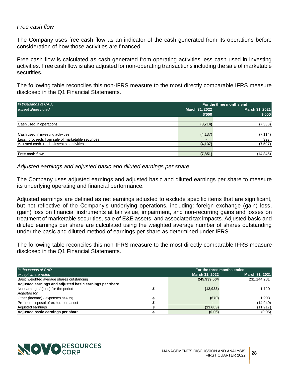#### *Free cash flow*

The Company uses free cash flow as an indicator of the cash generated from its operations before consideration of how those activities are financed.

Free cash flow is calculated as cash generated from operating activities less cash used in investing activities. Free cash flow is also adjusted for non-operating transactions including the sale of marketable securities.

The following table reconciles this non-IFRS measure to the most directly comparable IFRS measure disclosed in the Q1 Financial Statements.

| In thousands of CAD,                              | For the three months end |                       |  |
|---------------------------------------------------|--------------------------|-----------------------|--|
| except where noted                                | March 31, 2022           | <b>March 31, 2021</b> |  |
|                                                   | \$'000                   | \$'000                |  |
|                                                   |                          |                       |  |
| Cash used in operations                           | (3,714)                  | (7, 338)              |  |
|                                                   |                          |                       |  |
| Cash used in investing activities                 | (4, 137)                 | (7, 114)              |  |
| Less: proceeds from sale of marketable securities | -                        | 393                   |  |
| Adjusted cash used in investing activities        | (4, 137)                 | (7, 507)              |  |
|                                                   |                          |                       |  |
| Free cash flow                                    | (7, 851)                 | (14, 845)             |  |

*Adjusted earnings and adjusted basic and diluted earnings per share*

The Company uses adjusted earnings and adjusted basic and diluted earnings per share to measure its underlying operating and financial performance.

Adjusted earnings are defined as net earnings adjusted to exclude specific items that are significant, but not reflective of the Company's underlying operations, including: foreign exchange (gain) loss, (gain) loss on financial instruments at fair value, impairment, and non-recurring gains and losses on treatment of marketable securities, sale of E&E assets, and associated tax impacts. Adjusted basic and diluted earnings per share are calculated using the weighted average number of shares outstanding under the basic and diluted method of earnings per share as determined under IFRS.

The following table reconciles this non-IFRS measure to the most directly comparable IFRS measure disclosed in the Q1 Financial Statements.

| In thousands of CAD.                                    |  | For the three months ended       |             |  |
|---------------------------------------------------------|--|----------------------------------|-------------|--|
| except where noted                                      |  | March 31, 2021<br>March 31, 2022 |             |  |
| Basic weighted average shares outstanding               |  | 245,939,504                      | 231,144,281 |  |
| Adjusted earnings and adjusted basic earnings per share |  |                                  |             |  |
| Net earnings / (loss) for the period                    |  | (12, 933)                        | 1.120       |  |
| Adjusted for:                                           |  |                                  |             |  |
| Other (income) / expenses (Note 22)                     |  | (670)                            | 1.903       |  |
| Profit on disposal of exploration asset                 |  |                                  | (14,940)    |  |
| Adjusted earnings                                       |  | (13,603)                         | (11,917)    |  |
| Adjusted basic earnings per share                       |  | (0.06)                           | (0.05)      |  |

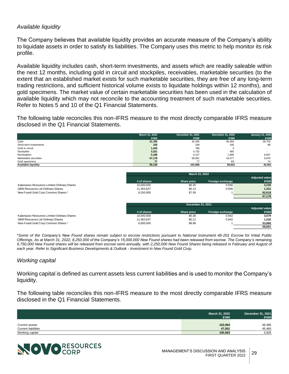# *Available liquidity*

The Company believes that available liquidity provides an accurate measure of the Company's ability to liquidate assets in order to satisfy its liabilities. The Company uses this metric to help monitor its risk profile.

Available liquidity includes cash, short-term investments, and assets which are readily saleable within the next 12 months, including gold in circuit and stockpiles, receivables, marketable securities (to the extent that an established market exists for such marketable securities, they are free of any long-term trading restrictions, and sufficient historical volume exists to liquidate holdings within 12 months), and gold specimens. The market value of certain marketable securities has been used in the calculation of available liquidity which may not reconcile to the accounting treatment of such marketable securities. Refer to Notes 5 and 10 of the Q1 Financial Statements.

The following table reconciles this non-IFRS measure to the most directly comparable IFRS measure disclosed in the Q1 Financial Statements.

|                        | March 31, 2022 | December 31, 2021 | December 31, 2020 | <b>January 31, 2020</b> |
|------------------------|----------------|-------------------|-------------------|-------------------------|
|                        | \$'000         | \$'000            | \$'000            | \$'000                  |
| Cash                   | 21,783         | 32,345            | 40,494            | 28,703                  |
| Short-term investments | 155            | 108               | 195               | 88                      |
| Gold in circuit        | 1,434          | 788               |                   |                         |
| Stockpiles             | 3,321          | 4,732             | 565               |                         |
| Receivables            | 5,188          | 6,127             | 1,806             | 6,657                   |
| Marketable securities  | 67,178         | 58,691            | 16,477            | 6,979                   |
| Gold specimens         | 77             |                   | 83                | 74                      |
| Available liquidity    | 99,136         | 102.868           | 59,623            | 42,501                  |

|                                             |             | March 31, 2022    |                  |                       |
|---------------------------------------------|-------------|-------------------|------------------|-----------------------|
|                                             |             |                   |                  | <b>Adjusted value</b> |
|                                             | # of shares | Share price       | Foreign exchange | \$'000                |
| Kalamazoo Resources Limited Ordinary Shares | 10,000,000  | \$0.35            | 0.936            | 3,230                 |
| GBM Resources Ltd Ordinary Shares           | 11,363,637  | \$0.13            | 0.936            | 1,331                 |
| New Found Gold Corp Common Shares *         | 8,250,000   | \$7.59            |                  | 62,618                |
|                                             |             |                   |                  | 67,178                |
|                                             |             |                   |                  |                       |
|                                             |             | December 31, 2021 |                  |                       |
|                                             |             |                   |                  | .                     |

|                                             |             |             |                  | <b>Adjusted value</b> |
|---------------------------------------------|-------------|-------------|------------------|-----------------------|
|                                             | # of shares | Share price | Foreign exchange | \$'000                |
| Kalamazoo Resources Limited Ordinary Shares | 10.000.000  | \$0.38      | 0.942            | 3.579                 |
| <b>GBM Resources Ltd Ordinary Shares</b>    | 11,363,637  | \$0.12      | 0.942            | 1.232                 |
| New Found Gold Corp Common Shares *         | 6.000.000   | \$8.98      |                  | 53.880                |
|                                             |             |             |                  | 58.691                |

*\*Some of the Company's New Found shares remain subject to escrow restrictions pursuant to National Instrument 46-201 Escrow for Initial Public Offerings. As at March 31, 2022, 8,250,000 of the Company's 15,000,000 New Found shares had been released from escrow. The Company's remaining 6,750,000 New Found shares will be released from escrow semi-annually, with 2,250,000 New Found Shares being released in February and August of each year. Refer to Significant Business Developments & Outlook - Investment in New Found Gold Corp.*

#### *Working capital*

Working capital is defined as current assets less current liabilities and is used to monitor the Company's liquidity.

The following table reconciles this non-IFRS measure to the most directly comparable IFRS measure disclosed in the Q1 Financial Statements.

|                            | March 31, 2022<br>\$'000 | December 31, 2021<br>\$'000 |
|----------------------------|--------------------------|-----------------------------|
|                            |                          |                             |
| Current assets             | 152,064                  | 49,385                      |
| <b>Current liabilities</b> | 47.001                   | 45.460                      |
| Working capital            | 105,063                  | 3,925                       |

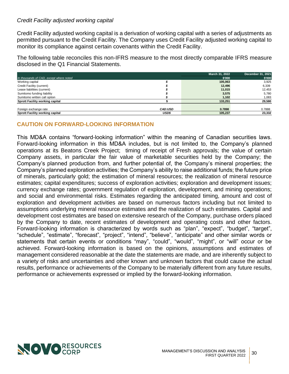# *Credit Facility adjusted working capital*

Credit Facility adjusted working capital is a derivation of working capital with a series of adjustments as permitted pursuant to the Credit Facility. The Company uses Credit Facility adjusted working capital to monitor its compliance against certain covenants within the Credit Facility.

The following table reconciles this non-IFRS measure to the most directly comparable IFRS measure disclosed in the Q1 Financial Statements.

|                                         |                | March 31, 2022 | December 31, 2021 |
|-----------------------------------------|----------------|----------------|-------------------|
| In thousands of CAD, except where noted |                | \$'000         | \$'000            |
| Working capital                         |                | 105,063        | 3.925             |
| Credit Facility (current)               |                | 12,496         | 6,339             |
| Lease liabilities (current)             |                | 11,015         | 12,453            |
| Sumitomo funding liability              |                | 3,575          | 5,780             |
| Sumitomo written call option            |                | 1,102          | 1,083             |
| <b>Sprott Facility working capital</b>  |                | 133,251        | 29,580            |
|                                         |                |                |                   |
| Foreign exchange rate                   | <b>CAD:USD</b> | 0.7898         | 0.7888            |
| <b>Sprott Facility working capital</b>  | <b>USD\$</b>   | 105.237        | 23.332            |

# <span id="page-29-0"></span>**CAUTION ON FORWARD-LOOKING INFORMATION**

This MD&A contains "forward-looking information" within the meaning of Canadian securities laws. Forward-looking information in this MD&A includes, but is not limited to, the Company's planned operations at its Beatons Creek Project; timing of receipt of Fresh approvals; the value of certain Company assets, in particular the fair value of marketable securities held by the Company; the Company's planned production from, and further potential of, the Company's mineral properties; the Company's planned exploration activities; the Company's ability to raise additional funds; the future price of minerals, particularly gold; the estimation of mineral resources; the realization of mineral resource estimates; capital expenditures; success of exploration activities; exploration and development issues; currency exchange rates; government regulation of exploration, development, and mining operations; and social and environmental risks. Estimates regarding the anticipated timing, amount and cost of exploration and development activities are based on numerous factors including but not limited to assumptions underlying mineral resource estimates and the realization of such estimates. Capital and development cost estimates are based on extensive research of the Company, purchase orders placed by the Company to date, recent estimates of development and operating costs and other factors. Forward-looking information is characterized by words such as "plan", "expect", "budget", "target", "schedule", "estimate", "forecast", "project", "intend", "believe", "anticipate" and other similar words or statements that certain events or conditions "may", "could", "would", "might", or "will" occur or be achieved. Forward-looking information is based on the opinions, assumptions and estimates of management considered reasonable at the date the statements are made, and are inherently subject to a variety of risks and uncertainties and other known and unknown factors that could cause the actual results, performance or achievements of the Company to be materially different from any future results, performance or achievements expressed or implied by the forward-looking information.

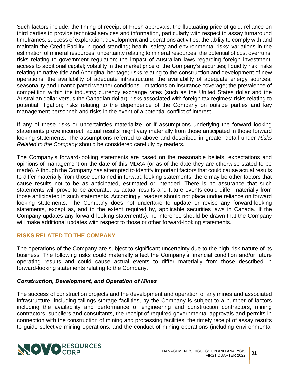Such factors include: the timing of receipt of Fresh approvals; the fluctuating price of gold; reliance on third parties to provide technical services and information, particularly with respect to assay turnaround timeframes; success of exploration, development and operations activities; the ability to comply with and maintain the Credit Facility in good standing; health, safety and environmental risks; variations in the estimation of mineral resources; uncertainty relating to mineral resources; the potential of cost overruns; risks relating to government regulation; the impact of Australian laws regarding foreign investment; access to additional capital; volatility in the market price of the Company's securities; liquidity risk; risks relating to native title and Aboriginal heritage; risks relating to the construction and development of new operations; the availability of adequate infrastructure; the availability of adequate energy sources; seasonality and unanticipated weather conditions; limitations on insurance coverage; the prevalence of competition within the industry; currency exchange rates (such as the United States dollar and the Australian dollar versus the Canadian dollar); risks associated with foreign tax regimes; risks relating to potential litigation; risks relating to the dependence of the Company on outside parties and key management personnel; and risks in the event of a potential conflict of interest.

If any of these risks or uncertainties materialize, or if assumptions underlying the forward looking statements prove incorrect, actual results might vary materially from those anticipated in those forward looking statements. The assumptions referred to above and described in greater detail under *Risks Related to the Company* should be considered carefully by readers.

The Company's forward-looking statements are based on the reasonable beliefs, expectations and opinions of management on the date of this MD&A (or as of the date they are otherwise stated to be made). Although the Company has attempted to identify important factors that could cause actual results to differ materially from those contained in forward looking statements, there may be other factors that cause results not to be as anticipated, estimated or intended. There is no assurance that such statements will prove to be accurate, as actual results and future events could differ materially from those anticipated in such statements. Accordingly, readers should not place undue reliance on forward looking statements. The Company does not undertake to update or revise any forward-looking statements, except as, and to the extent required by, applicable securities laws in Canada. If the Company updates any forward-looking statement(s), no inference should be drawn that the Company will make additional updates with respect to those or other forward-looking statements.

# <span id="page-30-0"></span>**RISKS RELATED TO THE COMPANY**

The operations of the Company are subject to significant uncertainty due to the high-risk nature of its business. The following risks could materially affect the Company's financial condition and/or future operating results and could cause actual events to differ materially from those described in forward-looking statements relating to the Company.

#### *Construction, Development, and Operation of Mines*

The success of construction projects and the development and operation of any mines and associated infrastructure, including tailings storage facilities, by the Company is subject to a number of factors including the availability and performance of engineering and construction contractors, mining contractors, suppliers and consultants, the receipt of required governmental approvals and permits in connection with the construction of mining and processing facilities, the timely receipt of assay results to guide selective mining operations, and the conduct of mining operations (including environmental

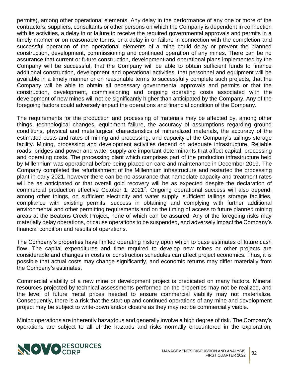permits), among other operational elements. Any delay in the performance of any one or more of the contractors, suppliers, consultants or other persons on which the Company is dependent in connection with its activities, a delay in or failure to receive the required governmental approvals and permits in a timely manner or on reasonable terms, or a delay in or failure in connection with the completion and successful operation of the operational elements of a mine could delay or prevent the planned construction, development, commissioning and continued operation of any mines. There can be no assurance that current or future construction, development and operational plans implemented by the Company will be successful, that the Company will be able to obtain sufficient funds to finance additional construction, development and operational activities, that personnel and equipment will be available in a timely manner or on reasonable terms to successfully complete such projects, that the Company will be able to obtain all necessary governmental approvals and permits or that the construction, development, commissioning and ongoing operating costs associated with the development of new mines will not be significantly higher than anticipated by the Company. Any of the foregoing factors could adversely impact the operations and financial condition of the Company.

The requirements for the production and processing of materials may be affected by, among other things, technological changes, equipment failure, the accuracy of assumptions regarding ground conditions, physical and metallurgical characteristics of mineralized materials, the accuracy of the estimated costs and rates of mining and processing, and capacity of the Company's tailings storage facility. Mining, processing and development activities depend on adequate infrastructure. Reliable roads, bridges and power and water supply are important determinants that affect capital, processing and operating costs. The processing plant which comprises part of the production infrastructure held by Millennium was operational before being placed on care and maintenance in December 2019. The Company completed the refurbishment of the Millennium infrastructure and restarted the processing plant in early 2021, however there can be no assurance that nameplate capacity and treatment rates will be as anticipated or that overall gold recovery will be as expected despite the declaration of commercial production effective October 1, 2021<sup>[7](#page-6-0)</sup>. Ongoing operational success will also depend, among other things, on sufficient electricity and water supply, sufficient tailings storage facilities, compliance with existing permits, success in obtaining and complying with further additional environmental and other permitting requirements and on the timing of access to future planned mining areas at the Beatons Creek Project, none of which can be assured. Any of the foregoing risks may materially delay operations, or cause operations to be suspended, and adversely impact the Company's financial condition and results of operations.

The Company's properties have limited operating history upon which to base estimates of future cash flow. The capital expenditures and time required to develop new mines or other projects are considerable and changes in costs or construction schedules can affect project economics. Thus, it is possible that actual costs may change significantly, and economic returns may differ materially from the Company's estimates.

Commercial viability of a new mine or development project is predicated on many factors. Mineral resources projected by technical assessments performed on the properties may not be realized, and the level of future metal prices needed to ensure commercial viability may not materialize. Consequently, there is a risk that the start-up and continued operations of any mine and development project may be subject to write-down and/or closure as they may not be commercially viable.

Mining operations are inherently hazardous and generally involve a high degree of risk. The Company's operations are subject to all of the hazards and risks normally encountered in the exploration,

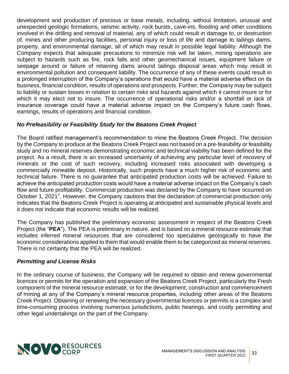development and production of precious or base metals, including, without limitation, unusual and unexpected geologic formations, seismic activity, rock bursts, cave-ins, flooding and other conditions involved in the drilling and removal of material, any of which could result in damage to, or destruction of, mines and other producing facilities, personal injury or loss of life and damage to tailings dams, property, and environmental damage, all of which may result in possible legal liability. Although the Company expects that adequate precautions to minimize risk will be taken, mining operations are subject to hazards such as fire, rock falls and other geomechanical issues, equipment failure or seepage around or failure of retaining dams around tailings disposal areas which may result in environmental pollution and consequent liability. The occurrence of any of these events could result in a prolonged interruption of the Company's operations that would have a material adverse effect on its business, financial condition, results of operations and prospects. Further, the Company may be subject to liability or sustain losses in relation to certain risks and hazards against which it cannot insure or for which it may elect not to insure. The occurrence of operational risks and/or a shortfall or lack of insurance coverage could have a material adverse impact on the Company's future cash flows, earnings, results of operations and financial condition.

# *No Prefeasibility or Feasibility Study for the Beatons Creek Project*

The Board ratified management's recommendation to mine the Beatons Creek Project. The decision by the Company to produce at the Beatons Creek Project was not based on a pre-feasibility or feasibility study and no mineral reserves demonstrating economic and technical viability has been defined for the project. As a result, there is an increased uncertainty of achieving any particular level of recovery of minerals or the cost of such recovery, including increased risks associated with developing a commercially mineable deposit. Historically, such projects have a much higher risk of economic and technical failure. There is no guarantee that anticipated production costs will be achieved. Failure to achieve the anticipated production costs would have a material adverse impact on the Company's cash flow and future profitability. Commercial production was declared by the Company to have occurred on October 1, 2021<sup>[7](#page-6-0)</sup>. However, the Company cautions that the declaration of commercial production only indicates that the Beatons Creek Project is operating at anticipated and sustainable physical levels and it does not indicate that economic results will be realized.

The Company has published the preliminary economic assessment in respect of the Beatons Creek Project (the "**PEA**"). The PEA is preliminary in nature, and is based on a mineral resource estimate that includes inferred mineral resources that are considered too speculative geologically to have the economic considerations applied to them that would enable them to be categorized as mineral reserves. There is no certainty that the PEA will be realized.

#### *Permitting and License Risks*

In the ordinary course of business, the Company will be required to obtain and renew governmental licences or permits for the operation and expansion of the Beatons Creek Project, particularly the Fresh component of the mineral resource estimate, or for the development, construction and commencement of mining at any of the Company's mineral resource properties, including other areas of the Beatons Creek Project. Obtaining or renewing the necessary governmental licences or permits is a complex and time-consuming process involving numerous jurisdictions, public hearings, and costly permitting and other legal undertakings on the part of the Company.

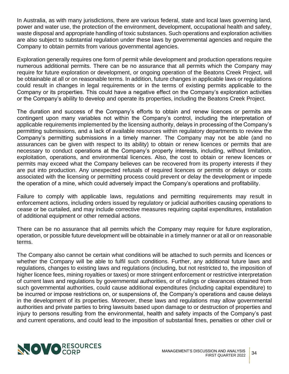In Australia, as with many jurisdictions, there are various federal, state and local laws governing land, power and water use, the protection of the environment, development, occupational health and safety, waste disposal and appropriate handling of toxic substances. Such operations and exploration activities are also subject to substantial regulation under these laws by governmental agencies and require the Company to obtain permits from various governmental agencies.

Exploration generally requires one form of permit while development and production operations require numerous additional permits. There can be no assurance that all permits which the Company may require for future exploration or development, or ongoing operation of the Beatons Creek Project, will be obtainable at all or on reasonable terms. In addition, future changes in applicable laws or regulations could result in changes in legal requirements or in the terms of existing permits applicable to the Company or its properties. This could have a negative effect on the Company's exploration activities or the Company's ability to develop and operate its properties, including the Beatons Creek Project.

The duration and success of the Company's efforts to obtain and renew licences or permits are contingent upon many variables not within the Company's control, including the interpretation of applicable requirements implemented by the licensing authority, delays in processing of the Company's permitting submissions, and a lack of available resources within regulatory departments to review the Company's permitting submissions in a timely manner. The Company may not be able (and no assurances can be given with respect to its ability) to obtain or renew licences or permits that are necessary to conduct operations at the Company's property interests, including, without limitation, exploitation, operations, and environmental licences. Also, the cost to obtain or renew licences or permits may exceed what the Company believes can be recovered from its property interests if they are put into production. Any unexpected refusals of required licences or permits or delays or costs associated with the licensing or permitting process could prevent or delay the development or impede the operation of a mine, which could adversely impact the Company's operations and profitability.

Failure to comply with applicable laws, regulations and permitting requirements may result in enforcement actions, including orders issued by regulatory or judicial authorities causing operations to cease or be curtailed, and may include corrective measures requiring capital expenditures, installation of additional equipment or other remedial actions.

There can be no assurance that all permits which the Company may require for future exploration, operation, or possible future development will be obtainable in a timely manner or at all or on reasonable terms.

The Company also cannot be certain what conditions will be attached to such permits and licences or whether the Company will be able to fulfil such conditions. Further, any additional future laws and regulations, changes to existing laws and regulations (including, but not restricted to, the imposition of higher licence fees, mining royalties or taxes) or more stringent enforcement or restrictive interpretation of current laws and regulations by governmental authorities, or of rulings or clearances obtained from such governmental authorities, could cause additional expenditures (including capital expenditure) to be incurred or impose restrictions on, or suspensions of, the Company's operations and cause delays in the development of its properties. Moreover, these laws and regulations may allow governmental authorities and private parties to bring lawsuits based upon damage to or destruction of properties and injury to persons resulting from the environmental, health and safety impacts of the Company's past and current operations, and could lead to the imposition of substantial fines, penalties or other civil or

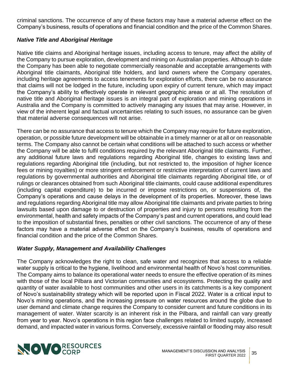criminal sanctions. The occurrence of any of these factors may have a material adverse effect on the Company's business, results of operations and financial condition and the price of the Common Shares.

# *Native Title and Aboriginal Heritage*

Native title claims and Aboriginal heritage issues, including access to tenure, may affect the ability of the Company to pursue exploration, development and mining on Australian properties. Although to date the Company has been able to negotiate commercially reasonable and acceptable arrangements with Aboriginal title claimants, Aboriginal title holders, and land owners where the Company operates, including heritage agreements to access tenements for exploration efforts, there can be no assurance that claims will not be lodged in the future, including upon expiry of current tenure, which may impact the Company's ability to effectively operate in relevant geographic areas or at all. The resolution of native title and Aboriginal heritage issues is an integral part of exploration and mining operations in Australia and the Company is committed to actively managing any issues that may arise. However, in view of the inherent legal and factual uncertainties relating to such issues, no assurance can be given that material adverse consequences will not arise.

There can be no assurance that access to tenure which the Company may require for future exploration, operation, or possible future development will be obtainable in a timely manner or at all or on reasonable terms. The Company also cannot be certain what conditions will be attached to such access or whether the Company will be able to fulfil conditions required by the relevant Aboriginal title claimants. Further, any additional future laws and regulations regarding Aboriginal title, changes to existing laws and regulations regarding Aboriginal title (including, but not restricted to, the imposition of higher licence fees or mining royalties) or more stringent enforcement or restrictive interpretation of current laws and regulations by governmental authorities and Aboriginal title claimants regarding Aboriginal title, or of rulings or clearances obtained from such Aboriginal title claimants, could cause additional expenditures (including capital expenditure) to be incurred or impose restrictions on, or suspensions of, the Company's operations and cause delays in the development of its properties. Moreover, these laws and regulations regarding Aboriginal title may allow Aboriginal title claimants and private parties to bring lawsuits based upon damage to or destruction of properties and injury to persons resulting from the environmental, health and safety impacts of the Company's past and current operations, and could lead to the imposition of substantial fines, penalties or other civil sanctions. The occurrence of any of these factors may have a material adverse effect on the Company's business, results of operations and financial condition and the price of the Common Shares.

# *Water Supply, Management and Availability Challenges*

The Company acknowledges the right to clean, safe water and recognizes that access to a reliable water supply is critical to the hygiene, livelihood and environmental health of Novo's host communities. The Company aims to balance its operational water needs to ensure the effective operation of its mines with those of the local Pilbara and Victorian communities and ecosystems. Protecting the quality and quantity of water available to host communities and other users in its catchments is a key component of Novo's sustainability strategy which will be reported upon in Fiscal 2022. Water is a critical input to Novo's mining operations, and the increasing pressure on water resources around the globe due to user demand and climate change requires the Company to consider current and future conditions in its management of water. Water scarcity is an inherent risk in the Pilbara, and rainfall can vary greatly from year to year. Novo's operations in this region face challenges related to limited supply, increased demand, and impacted water in various forms. Conversely, excessive rainfall or flooding may also result

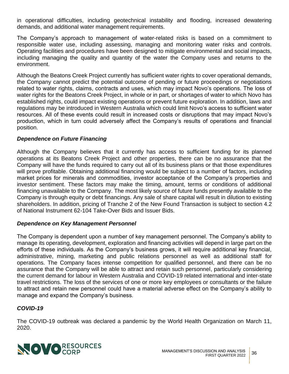in operational difficulties, including geotechnical instability and flooding, increased dewatering demands, and additional water management requirements.

The Company's approach to management of water-related risks is based on a commitment to responsible water use, including assessing, managing and monitoring water risks and controls. Operating facilities and procedures have been designed to mitigate environmental and social impacts, including managing the quality and quantity of the water the Company uses and returns to the environment.

Although the Beatons Creek Project currently has sufficient water rights to cover operational demands, the Company cannot predict the potential outcome of pending or future proceedings or negotiations related to water rights, claims, contracts and uses, which may impact Novo's operations. The loss of water rights for the Beatons Creek Project, in whole or in part, or shortages of water to which Novo has established rights, could impact existing operations or prevent future exploration. In addition, laws and regulations may be introduced in Western Australia which could limit Novo's access to sufficient water resources. All of these events could result in increased costs or disruptions that may impact Novo's production, which in turn could adversely affect the Company's results of operations and financial position.

# *Dependence on Future Financing*

Although the Company believes that it currently has access to sufficient funding for its planned operations at its Beatons Creek Project and other properties, there can be no assurance that the Company will have the funds required to carry out all of its business plans or that those expenditures will prove profitable. Obtaining additional financing would be subject to a number of factors, including market prices for minerals and commodities, investor acceptance of the Company's properties and investor sentiment. These factors may make the timing, amount, terms or conditions of additional financing unavailable to the Company. The most likely source of future funds presently available to the Company is through equity or debt financings. Any sale of share capital will result in dilution to existing shareholders. In addition, pricing of Tranche 2 of the New Found Transaction is subject to section 4.2 of National Instrument 62-104 Take-Over Bids and Issuer Bids.

#### *Dependence on Key Management Personnel*

The Company is dependent upon a number of key management personnel. The Company's ability to manage its operating, development, exploration and financing activities will depend in large part on the efforts of these individuals. As the Company's business grows, it will require additional key financial, administrative, mining, marketing and public relations personnel as well as additional staff for operations. The Company faces intense competition for qualified personnel, and there can be no assurance that the Company will be able to attract and retain such personnel, particularly considering the current demand for labour in Western Australia and COVID-19 related international and inter-state travel restrictions. The loss of the services of one or more key employees or consultants or the failure to attract and retain new personnel could have a material adverse effect on the Company's ability to manage and expand the Company's business.

# *COVID-19*

The COVID-19 outbreak was declared a pandemic by the World Health Organization on March 11, 2020.

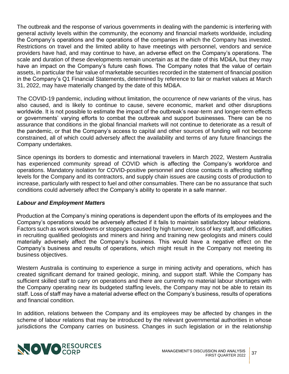The outbreak and the response of various governments in dealing with the pandemic is interfering with general activity levels within the community, the economy and financial markets worldwide, including the Company's operations and the operations of the companies in which the Company has invested. Restrictions on travel and the limited ability to have meetings with personnel, vendors and service providers have had, and may continue to have, an adverse effect on the Company's operations. The scale and duration of these developments remain uncertain as at the date of this MD&A, but they may have an impact on the Company's future cash flows. The Company notes that the value of certain assets, in particular the fair value of marketable securities recorded in the statement of financial position in the Company's Q1 Financial Statements, determined by reference to fair or market values at March 31, 2022, may have materially changed by the date of this MD&A.

The COVID-19 pandemic, including without limitation, the occurrence of new variants of the virus, has also caused, and is likely to continue to cause, severe economic, market and other disruptions worldwide. It is not possible to estimate the impact of the outbreak's near-term and longer-term effects or governments' varying efforts to combat the outbreak and support businesses. There can be no assurance that conditions in the global financial markets will not continue to deteriorate as a result of the pandemic, or that the Company's access to capital and other sources of funding will not become constrained, all of which could adversely affect the availability and terms of any future financings the Company undertakes.

Since openings its borders to domestic and international travelers in March 2022, Western Australia has experienced community spread of COVID which is affecting the Company's workforce and operations. Mandatory isolation for COVID-positive personnel and close contacts is affecting staffing levels for the Company and its contractors, and supply chain issues are causing costs of production to increase, particularly with respect to fuel and other consumables. There can be no assurance that such conditions could adversely affect the Company's ability to operate in a safe manner.

# *Labour and Employment Matters*

Production at the Company's mining operations is dependent upon the efforts of its employees and the Company's operations would be adversely affected if it fails to maintain satisfactory labour relations. Factors such as work slowdowns or stoppages caused by high turnover, loss of key staff, and difficulties in recruiting qualified geologists and miners and hiring and training new geologists and miners could materially adversely affect the Company's business. This would have a negative effect on the Company's business and results of operations, which might result in the Company not meeting its business objectives.

Western Australia is continuing to experience a surge in mining activity and operations, which has created significant demand for trained geologic, mining, and support staff. While the Company has sufficient skilled staff to carry on operations and there are currently no material labour shortages with the Company operating near its budgeted staffing levels, the Company may not be able to retain its staff. Loss of staff may have a material adverse effect on the Company's business, results of operations and financial condition.

In addition, relations between the Company and its employees may be affected by changes in the scheme of labour relations that may be introduced by the relevant governmental authorities in whose jurisdictions the Company carries on business. Changes in such legislation or in the relationship

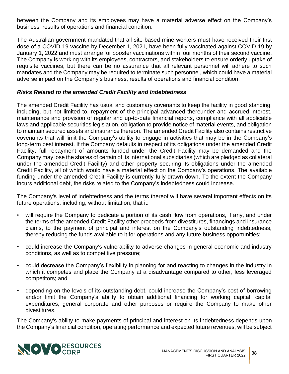between the Company and its employees may have a material adverse effect on the Company's business, results of operations and financial condition.

The Australian government mandated that all site-based mine workers must have received their first dose of a COVID-19 vaccine by December 1, 2021, have been fully vaccinated against COVID-19 by January 1, 2022 and must arrange for booster vaccinations within four months of their second vaccine. The Company is working with its employees, contractors, and stakeholders to ensure orderly uptake of requisite vaccines, but there can be no assurance that all relevant personnel will adhere to such mandates and the Company may be required to terminate such personnel, which could have a material adverse impact on the Company's business, results of operations and financial condition.

# *Risks Related to the amended Credit Facility and Indebtedness*

The amended Credit Facility has usual and customary covenants to keep the facility in good standing, including, but not limited to, repayment of the principal advanced thereunder and accrued interest, maintenance and provision of regular and up-to-date financial reports, compliance with all applicable laws and applicable securities legislation, obligation to provide notice of material events, and obligation to maintain secured assets and insurance thereon. The amended Credit Facility also contains restrictive covenants that will limit the Company's ability to engage in activities that may be in the Company's long-term best interest. If the Company defaults in respect of its obligations under the amended Credit Facility, full repayment of amounts funded under the Credit Facility may be demanded and the Company may lose the shares of certain of its international subsidiaries (which are pledged as collateral under the amended Credit Facility) and other property securing its obligations under the amended Credit Facility, all of which would have a material effect on the Company's operations. The available funding under the amended Credit Facility is currently fully drawn down. To the extent the Company incurs additional debt, the risks related to the Company's indebtedness could increase.

The Company's level of indebtedness and the terms thereof will have several important effects on its future operations, including, without limitation, that it:

- will require the Company to dedicate a portion of its cash flow from operations, if any, and under the terms of the amended Credit Facility other proceeds from divestitures, financings and insurance claims, to the payment of principal and interest on the Company's outstanding indebtedness, thereby reducing the funds available to it for operations and any future business opportunities;
- could increase the Company's vulnerability to adverse changes in general economic and industry conditions, as well as to competitive pressure;
- could decrease the Company's flexibility in planning for and reacting to changes in the industry in which it competes and place the Company at a disadvantage compared to other, less leveraged competitors; and
- depending on the levels of its outstanding debt, could increase the Company's cost of borrowing and/or limit the Company's ability to obtain additional financing for working capital, capital expenditures, general corporate and other purposes or require the Company to make other divestitures.

The Company's ability to make payments of principal and interest on its indebtedness depends upon the Company's financial condition, operating performance and expected future revenues, will be subject

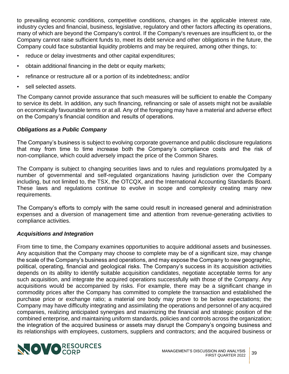to prevailing economic conditions, competitive conditions, changes in the applicable interest rate, industry cycles and financial, business, legislative, regulatory and other factors affecting its operations, many of which are beyond the Company's control. If the Company's revenues are insufficient to, or the Company cannot raise sufficient funds to, meet its debt service and other obligations in the future, the Company could face substantial liquidity problems and may be required, among other things, to:

- reduce or delay investments and other capital expenditures;
- obtain additional financing in the debt or equity markets;
- refinance or restructure all or a portion of its indebtedness; and/or
- sell selected assets.

The Company cannot provide assurance that such measures will be sufficient to enable the Company to service its debt. In addition, any such financing, refinancing or sale of assets might not be available on economically favourable terms or at all. Any of the foregoing may have a material and adverse effect on the Company's financial condition and results of operations.

# *Obligations as a Public Company*

The Company's business is subject to evolving corporate governance and public disclosure regulations that may from time to time increase both the Company's compliance costs and the risk of non-compliance, which could adversely impact the price of the Common Shares.

The Company is subject to changing securities laws and to rules and regulations promulgated by a number of governmental and self-regulated organizations having jurisdiction over the Company including, but not limited to, the TSX, the OTCQX, and the International Accounting Standards Board. These laws and regulations continue to evolve in scope and complexity creating many new requirements.

The Company's efforts to comply with the same could result in increased general and administration expenses and a diversion of management time and attention from revenue-generating activities to compliance activities.

# *Acquisitions and Integration*

From time to time, the Company examines opportunities to acquire additional assets and businesses. Any acquisition that the Company may choose to complete may be of a significant size, may change the scale of the Company's business and operations, and may expose the Company to new geographic, political, operating, financial and geological risks. The Company's success in its acquisition activities depends on its ability to identify suitable acquisition candidates, negotiate acceptable terms for any such acquisition, and integrate the acquired operations successfully with those of the Company. Any acquisitions would be accompanied by risks. For example, there may be a significant change in commodity prices after the Company has committed to complete the transaction and established the purchase price or exchange ratio; a material ore body may prove to be below expectations; the Company may have difficulty integrating and assimilating the operations and personnel of any acquired companies, realizing anticipated synergies and maximizing the financial and strategic position of the combined enterprise, and maintaining uniform standards, policies and controls across the organization; the integration of the acquired business or assets may disrupt the Company's ongoing business and its relationships with employees, customers, suppliers and contractors; and the acquired business or

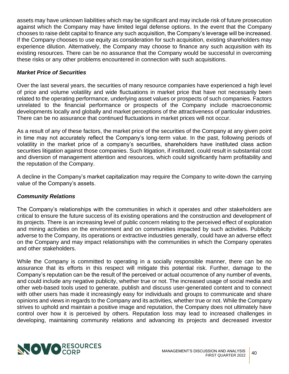assets may have unknown liabilities which may be significant and may include risk of future prosecution against which the Company may have limited legal defense options. In the event that the Company chooses to raise debt capital to finance any such acquisition, the Company's leverage will be increased. If the Company chooses to use equity as consideration for such acquisition, existing shareholders may experience dilution. Alternatively, the Company may choose to finance any such acquisition with its existing resources. There can be no assurance that the Company would be successful in overcoming these risks or any other problems encountered in connection with such acquisitions.

# *Market Price of Securities*

Over the last several years, the securities of many resource companies have experienced a high level of price and volume volatility and wide fluctuations in market price that have not necessarily been related to the operating performance, underlying asset values or prospects of such companies. Factors unrelated to the financial performance or prospects of the Company include macroeconomic developments locally and globally and market perceptions of the attractiveness of particular industries. There can be no assurance that continued fluctuations in market prices will not occur.

As a result of any of these factors, the market price of the securities of the Company at any given point in time may not accurately reflect the Company's long-term value. In the past, following periods of volatility in the market price of a company's securities, shareholders have instituted class action securities litigation against those companies. Such litigation, if instituted, could result in substantial cost and diversion of management attention and resources, which could significantly harm profitability and the reputation of the Company.

A decline in the Company's market capitalization may require the Company to write-down the carrying value of the Company's assets.

# *Community Relations*

The Company's relationships with the communities in which it operates and other stakeholders are critical to ensure the future success of its existing operations and the construction and development of its projects. There is an increasing level of public concern relating to the perceived effect of exploration and mining activities on the environment and on communities impacted by such activities. Publicity adverse to the Company, its operations or extractive industries generally, could have an adverse effect on the Company and may impact relationships with the communities in which the Company operates and other stakeholders.

While the Company is committed to operating in a socially responsible manner, there can be no assurance that its efforts in this respect will mitigate this potential risk. Further, damage to the Company's reputation can be the result of the perceived or actual occurrence of any number of events, and could include any negative publicity, whether true or not. The increased usage of social media and other web-based tools used to generate, publish and discuss user-generated content and to connect with other users has made it increasingly easy for individuals and groups to communicate and share opinions and views in regards to the Company and its activities, whether true or not. While the Company strives to uphold and maintain a positive image and reputation, the Company does not ultimately have control over how it is perceived by others. Reputation loss may lead to increased challenges in developing, maintaining community relations and advancing its projects and decreased investor

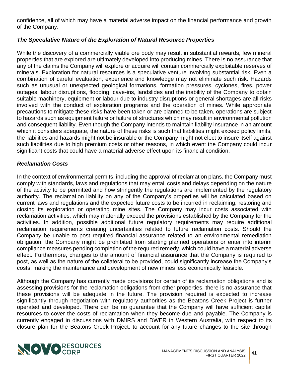confidence, all of which may have a material adverse impact on the financial performance and growth of the Company.

# *The Speculative Nature of the Exploration of Natural Resource Properties*

While the discovery of a commercially viable ore body may result in substantial rewards, few mineral properties that are explored are ultimately developed into producing mines. There is no assurance that any of the claims the Company will explore or acquire will contain commercially exploitable reserves of minerals. Exploration for natural resources is a speculative venture involving substantial risk. Even a combination of careful evaluation, experience and knowledge may not eliminate such risk. Hazards such as unusual or unexpected geological formations, formation pressures, cyclones, fires, power outages, labour disruptions, flooding, cave-ins, landslides and the inability of the Company to obtain suitable machinery, equipment or labour due to industry disruptions or general shortages are all risks involved with the conduct of exploration programs and the operation of mines. While appropriate precautions to mitigate these risks have been taken or are planned to be taken, operations are subject to hazards such as equipment failure or failure of structures which may result in environmental pollution and consequent liability. Even though the Company intends to maintain liability insurance in an amount which it considers adequate, the nature of these risks is such that liabilities might exceed policy limits, the liabilities and hazards might not be insurable or the Company might not elect to insure itself against such liabilities due to high premium costs or other reasons, in which event the Company could incur significant costs that could have a material adverse effect upon its financial condition.

# *Reclamation Costs*

In the context of environmental permits, including the approval of reclamation plans, the Company must comply with standards, laws and regulations that may entail costs and delays depending on the nature of the activity to be permitted and how stringently the regulations are implemented by the regulatory authority. The reclamation liability on any of the Company's properties will be calculated based on current laws and regulations and the expected future costs to be incurred in reclaiming, restoring and closing its exploration or operating mine sites. The Company may incur costs associated with reclamation activities, which may materially exceed the provisions established by the Company for the activities. In addition, possible additional future regulatory requirements may require additional reclamation requirements creating uncertainties related to future reclamation costs. Should the Company be unable to post required financial assurance related to an environmental remediation obligation, the Company might be prohibited from starting planned operations or enter into interim compliance measures pending completion of the required remedy, which could have a material adverse effect. Furthermore, changes to the amount of financial assurance that the Company is required to post, as well as the nature of the collateral to be provided, could significantly increase the Company's costs, making the maintenance and development of new mines less economically feasible.

Although the Company has currently made provisions for certain of its reclamation obligations and is assessing provisions for the reclamation obligations from other properties, there is no assurance that these provisions will be adequate in the future. The provision required is expected to increase significantly through negotiation with regulatory authorities as the Beatons Creek Project is further operated and developed. There can be no guarantee that the Company will have sufficient capital resources to cover the costs of reclamation when they become due and payable. The Company is currently engaged in discussions with DMIRS and DWER in Western Australia, with respect to its closure plan for the Beatons Creek Project, to account for any future changes to the site through

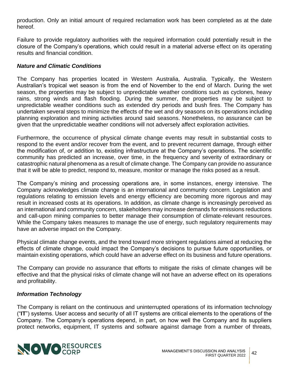production. Only an initial amount of required reclamation work has been completed as at the date hereof.

Failure to provide regulatory authorities with the required information could potentially result in the closure of the Company's operations, which could result in a material adverse effect on its operating results and financial condition.

# *Nature and Climatic Conditions*

The Company has properties located in Western Australia, Australia. Typically, the Western Australian's tropical wet season is from the end of November to the end of March. During the wet season, the properties may be subject to unpredictable weather conditions such as cyclones, heavy rains, strong winds and flash flooding. During the summer, the properties may be subject to unpredictable weather conditions such as extended dry periods and bush fires. The Company has undertaken several steps to minimize the effects of the wet and dry seasons on its operations including planning exploration and mining activities around said seasons. Nonetheless, no assurance can be given that the unpredictable weather conditions will not adversely affect exploration activities.

Furthermore, the occurrence of physical climate change events may result in substantial costs to respond to the event and/or recover from the event, and to prevent recurrent damage, through either the modification of, or addition to, existing infrastructure at the Company's operations. The scientific community has predicted an increase, over time, in the frequency and severity of extraordinary or catastrophic natural phenomena as a result of climate change. The Company can provide no assurance that it will be able to predict, respond to, measure, monitor or manage the risks posed as a result.

The Company's mining and processing operations are, in some instances, energy intensive. The Company acknowledges climate change is an international and community concern. Legislation and regulations relating to emission levels and energy efficiency are becoming more rigorous and may result in increased costs at its operations. In addition, as climate change is increasingly perceived as an international and community concern, stakeholders may increase demands for emissions reductions and call-upon mining companies to better manage their consumption of climate-relevant resources. While the Company takes measures to manage the use of energy, such regulatory requirements may have an adverse impact on the Company.

Physical climate change events, and the trend toward more stringent regulations aimed at reducing the effects of climate change, could impact the Company's decisions to pursue future opportunities, or maintain existing operations, which could have an adverse effect on its business and future operations.

The Company can provide no assurance that efforts to mitigate the risks of climate changes will be effective and that the physical risks of climate change will not have an adverse effect on its operations and profitability.

#### *Information Technology*

The Company is reliant on the continuous and uninterrupted operations of its information technology ("**IT**") systems. User access and security of all IT systems are critical elements to the operations of the Company. The Company's operations depend, in part, on how well the Company and its suppliers protect networks, equipment, IT systems and software against damage from a number of threats,

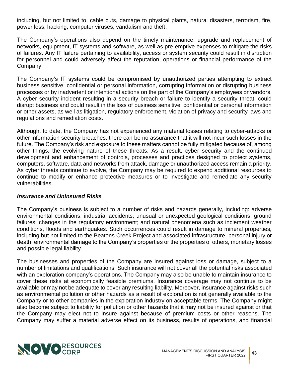including, but not limited to, cable cuts, damage to physical plants, natural disasters, terrorism, fire, power loss, hacking, computer viruses, vandalism and theft.

The Company's operations also depend on the timely maintenance, upgrade and replacement of networks, equipment, IT systems and software, as well as pre-emptive expenses to mitigate the risks of failures. Any IT failure pertaining to availability, access or system security could result in disruption for personnel and could adversely affect the reputation, operations or financial performance of the Company.

The Company's IT systems could be compromised by unauthorized parties attempting to extract business sensitive, confidential or personal information, corrupting information or disrupting business processes or by inadvertent or intentional actions on the part of the Company's employees or vendors. A cyber security incident resulting in a security breach or failure to identify a security threat, could disrupt business and could result in the loss of business sensitive, confidential or personal information or other assets, as well as litigation, regulatory enforcement, violation of privacy and security laws and regulations and remediation costs.

Although, to date, the Company has not experienced any material losses relating to cyber-attacks or other information security breaches, there can be no assurance that it will not incur such losses in the future. The Company's risk and exposure to these matters cannot be fully mitigated because of, among other things, the evolving nature of these threats. As a result, cyber security and the continued development and enhancement of controls, processes and practices designed to protect systems, computers, software, data and networks from attack, damage or unauthorized access remain a priority. As cyber threats continue to evolve, the Company may be required to expend additional resources to continue to modify or enhance protective measures or to investigate and remediate any security vulnerabilities.

#### *Insurance and Uninsured Risks*

The Company's business is subject to a number of risks and hazards generally, including: adverse environmental conditions; industrial accidents; unusual or unexpected geological conditions; ground failures; changes in the regulatory environment; and natural phenomena such as inclement weather conditions, floods and earthquakes. Such occurrences could result in damage to mineral properties, including but not limited to the Beatons Creek Project and associated infrastructure, personal injury or death, environmental damage to the Company's properties or the properties of others, monetary losses and possible legal liability.

The businesses and properties of the Company are insured against loss or damage, subject to a number of limitations and qualifications. Such insurance will not cover all the potential risks associated with an exploration company's operations. The Company may also be unable to maintain insurance to cover these risks at economically feasible premiums. Insurance coverage may not continue to be available or may not be adequate to cover any resulting liability. Moreover, insurance against risks such as environmental pollution or other hazards as a result of exploration is not generally available to the Company or to other companies in the exploration industry on acceptable terms. The Company might also become subject to liability for pollution or other hazards that it may not be insured against or that the Company may elect not to insure against because of premium costs or other reasons. The Company may suffer a material adverse effect on its business, results of operations, and financial

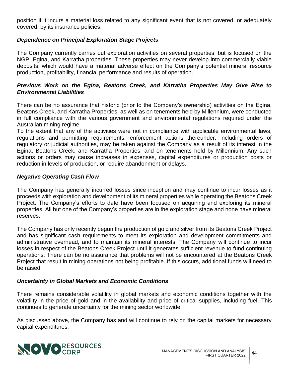position if it incurs a material loss related to any significant event that is not covered, or adequately covered, by its insurance policies.

# *Dependence on Principal Exploration Stage Projects*

The Company currently carries out exploration activities on several properties, but is focused on the NGP, Egina, and Karratha properties. These properties may never develop into commercially viable deposits, which would have a material adverse effect on the Company's potential mineral resource production, profitability, financial performance and results of operation.

# *Previous Work on the Egina, Beatons Creek, and Karratha Properties May Give Rise to Environmental Liabilities*

There can be no assurance that historic (prior to the Company's ownership) activities on the Egina, Beatons Creek, and Karratha Properties, as well as on tenements held by Millennium, were conducted in full compliance with the various government and environmental regulations required under the Australian mining regime.

To the extent that any of the activities were not in compliance with applicable environmental laws, regulations and permitting requirements, enforcement actions thereunder, including orders of regulatory or judicial authorities, may be taken against the Company as a result of its interest in the Egina, Beatons Creek, and Karratha Properties, and on tenements held by Millennium. Any such actions or orders may cause increases in expenses, capital expenditures or production costs or reduction in levels of production, or require abandonment or delays.

# *Negative Operating Cash Flow*

The Company has generally incurred losses since inception and may continue to incur losses as it proceeds with exploration and development of its mineral properties while operating the Beatons Creek Project. The Company's efforts to date have been focused on acquiring and exploring its mineral properties. All but one of the Company's properties are in the exploration stage and none have mineral reserves.

The Company has only recently begun the production of gold and silver from its Beatons Creek Project and has significant cash requirements to meet its exploration and development commitments and administrative overhead, and to maintain its mineral interests. The Company will continue to incur losses in respect of the Beatons Creek Project until it generates sufficient revenue to fund continuing operations. There can be no assurance that problems will not be encountered at the Beatons Creek Project that result in mining operations not being profitable. If this occurs, additional funds will need to be raised.

# *Uncertainty in Global Markets and Economic Conditions*

There remains considerable volatility in global markets and economic conditions together with the volatility in the price of gold and in the availability and price of critical supplies, including fuel. This continues to generate uncertainty for the mining sector worldwide.

As discussed above, the Company has and will continue to rely on the capital markets for necessary capital expenditures.

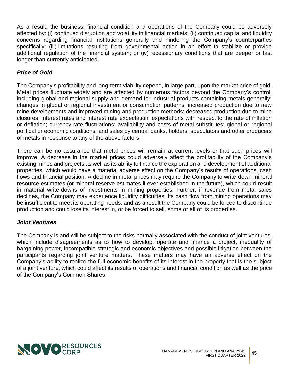As a result, the business, financial condition and operations of the Company could be adversely affected by: (i) continued disruption and volatility in financial markets; (ii) continued capital and liquidity concerns regarding financial institutions generally and hindering the Company's counterparties specifically; (iii) limitations resulting from governmental action in an effort to stabilize or provide additional regulation of the financial system; or (iv) recessionary conditions that are deeper or last longer than currently anticipated.

# *Price of Gold*

The Company's profitability and long-term viability depend, in large part, upon the market price of gold. Metal prices fluctuate widely and are affected by numerous factors beyond the Company's control, including global and regional supply and demand for industrial products containing metals generally; changes in global or regional investment or consumption patterns; increased production due to new mine developments and improved mining and production methods; decreased production due to mine closures; interest rates and interest rate expectation; expectations with respect to the rate of inflation or deflation; currency rate fluctuations; availability and costs of metal substitutes; global or regional political or economic conditions; and sales by central banks, holders, speculators and other producers of metals in response to any of the above factors.

There can be no assurance that metal prices will remain at current levels or that such prices will improve. A decrease in the market prices could adversely affect the profitability of the Company's existing mines and projects as well as its ability to finance the exploration and development of additional properties, which would have a material adverse effect on the Company's results of operations, cash flows and financial position. A decline in metal prices may require the Company to write-down mineral resource estimates (or mineral reserve estimates if ever established in the future), which could result in material write-downs of investments in mining properties. Further, if revenue from metal sales declines, the Company may experience liquidity difficulties. Its cash flow from mining operations may be insufficient to meet its operating needs, and as a result the Company could be forced to discontinue production and could lose its interest in, or be forced to sell, some or all of its properties.

# *Joint Ventures*

The Company is and will be subject to the risks normally associated with the conduct of joint ventures, which include disagreements as to how to develop, operate and finance a project, inequality of bargaining power, incompatible strategic and economic objectives and possible litigation between the participants regarding joint venture matters. These matters may have an adverse effect on the Company's ability to realize the full economic benefits of its interest in the property that is the subject of a joint venture, which could affect its results of operations and financial condition as well as the price of the Company's Common Shares.

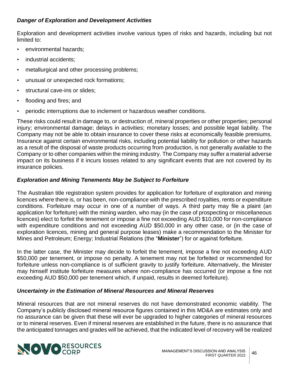# *Danger of Exploration and Development Activities*

Exploration and development activities involve various types of risks and hazards, including but not limited to:

- environmental hazards;
- industrial accidents:
- metallurgical and other processing problems;
- unusual or unexpected rock formations;
- structural cave-ins or slides;
- flooding and fires; and
- periodic interruptions due to inclement or hazardous weather conditions.

These risks could result in damage to, or destruction of, mineral properties or other properties; personal injury; environmental damage; delays in activities; monetary losses; and possible legal liability. The Company may not be able to obtain insurance to cover these risks at economically feasible premiums. Insurance against certain environmental risks, including potential liability for pollution or other hazards as a result of the disposal of waste products occurring from production, is not generally available to the Company or to other companies within the mining industry. The Company may suffer a material adverse impact on its business if it incurs losses related to any significant events that are not covered by its insurance policies.

# *Exploration and Mining Tenements May be Subject to Forfeiture*

The Australian title registration system provides for application for forfeiture of exploration and mining licences where there is, or has been, non-compliance with the prescribed royalties, rents or expenditure conditions. Forfeiture may occur in one of a number of ways. A third party may file a plaint (an application for forfeiture) with the mining warden, who may (in the case of prospecting or miscellaneous licences) elect to forfeit the tenement or impose a fine not exceeding AUD \$10,000 for non-compliance with expenditure conditions and not exceeding AUD \$50,000 in any other case, or (in the case of exploration licences, mining and general purpose leases) make a recommendation to the Minister for Mines and Petroleum; Energy; Industrial Relations (the "**Minister**") for or against forfeiture.

In the latter case, the Minister may decide to forfeit the tenement, impose a fine not exceeding AUD \$50,000 per tenement, or impose no penalty. A tenement may not be forfeited or recommended for forfeiture unless non-compliance is of sufficient gravity to justify forfeiture. Alternatively, the Minister may himself institute forfeiture measures where non-compliance has occurred (or impose a fine not exceeding AUD \$50,000 per tenement which, if unpaid, results in deemed forfeiture).

# *Uncertainty in the Estimation of Mineral Resources and Mineral Reserves*

Mineral resources that are not mineral reserves do not have demonstrated economic viability. The Company's publicly disclosed mineral resource figures contained in this MD&A are estimates only and no assurance can be given that these will ever be upgraded to higher categories of mineral resources or to mineral reserves. Even if mineral reserves are established in the future, there is no assurance that the anticipated tonnages and grades will be achieved, that the indicated level of recovery will be realized

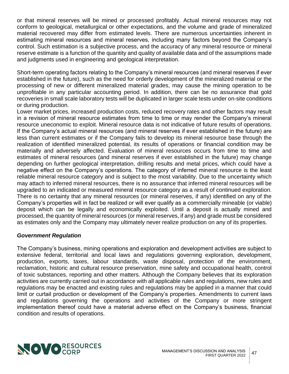or that mineral reserves will be mined or processed profitably. Actual mineral resources may not conform to geological, metallurgical or other expectations, and the volume and grade of mineralized material recovered may differ from estimated levels. There are numerous uncertainties inherent in estimating mineral resources and mineral reserves, including many factors beyond the Company's control. Such estimation is a subjective process, and the accuracy of any mineral resource or mineral reserve estimate is a function of the quantity and quality of available data and of the assumptions made and judgments used in engineering and geological interpretation.

Short-term operating factors relating to the Company's mineral resources (and mineral reserves if ever established in the future), such as the need for orderly development of the mineralized material or the processing of new or different mineralized material grades, may cause the mining operation to be unprofitable in any particular accounting period. In addition, there can be no assurance that gold recoveries in small scale laboratory tests will be duplicated in larger scale tests under on-site conditions or during production.

Lower market prices, increased production costs, reduced recovery rates and other factors may result in a revision of mineral resource estimates from time to time or may render the Company's mineral resource uneconomic to exploit. Mineral resource data is not indicative of future results of operations. If the Company's actual mineral resources (and mineral reserves if ever established in the future) are less than current estimates or if the Company fails to develop its mineral resource base through the realization of identified mineralized potential, its results of operations or financial condition may be materially and adversely affected. Evaluation of mineral resources occurs from time to time and estimates of mineral resources (and mineral reserves if ever established in the future) may change depending on further geological interpretation, drilling results and metal prices, which could have a negative effect on the Company's operations. The category of inferred mineral resource is the least reliable mineral resource category and is subject to the most variability. Due to the uncertainty which may attach to inferred mineral resources, there is no assurance that inferred mineral resources will be upgraded to an indicated or measured mineral resource category as a result of continued exploration. There is no certainty that any mineral resources (or mineral reserves, if any) identified on any of the Company's properties will in fact be realized or will ever qualify as a commercially mineable (or viable) deposit which can be legally and economically exploited. Until a deposit is actually mined and processed, the quantity of mineral resources (or mineral reserves, if any) and grade must be considered as estimates only and the Company may ultimately never realize production on any of its properties.

# *Government Regulation*

The Company's business, mining operations and exploration and development activities are subject to extensive federal, territorial and local laws and regulations governing exploration, development, production, exports, taxes, labour standards, waste disposal, protection of the environment, reclamation, historic and cultural resource preservation, mine safety and occupational health, control of toxic substances, reporting and other matters. Although the Company believes that its exploration activities are currently carried out in accordance with all applicable rules and regulations, new rules and regulations may be enacted and existing rules and regulations may be applied in a manner that could limit or curtail production or development of the Company's properties. Amendments to current laws and regulations governing the operations and activities of the Company or more stringent implementation thereof could have a material adverse effect on the Company's business, financial condition and results of operations.

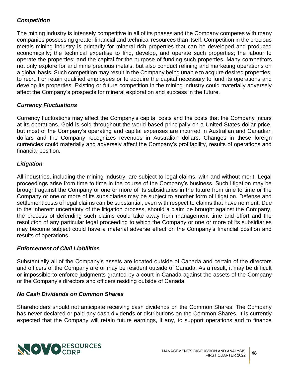# *Competition*

The mining industry is intensely competitive in all of its phases and the Company competes with many companies possessing greater financial and technical resources than itself. Competition in the precious metals mining industry is primarily for mineral rich properties that can be developed and produced economically; the technical expertise to find, develop, and operate such properties; the labour to operate the properties; and the capital for the purpose of funding such properties. Many competitors not only explore for and mine precious metals, but also conduct refining and marketing operations on a global basis. Such competition may result in the Company being unable to acquire desired properties, to recruit or retain qualified employees or to acquire the capital necessary to fund its operations and develop its properties. Existing or future competition in the mining industry could materially adversely affect the Company's prospects for mineral exploration and success in the future.

# *Currency Fluctuations*

Currency fluctuations may affect the Company's capital costs and the costs that the Company incurs at its operations. Gold is sold throughout the world based principally on a United States dollar price, but most of the Company's operating and capital expenses are incurred in Australian and Canadian dollars and the Company recognizes revenues in Australian dollars. Changes in these foreign currencies could materially and adversely affect the Company's profitability, results of operations and financial position.

# *Litigation*

All industries, including the mining industry, are subject to legal claims, with and without merit. Legal proceedings arise from time to time in the course of the Company's business. Such litigation may be brought against the Company or one or more of its subsidiaries in the future from time to time or the Company or one or more of its subsidiaries may be subject to another form of litigation. Defense and settlement costs of legal claims can be substantial, even with respect to claims that have no merit. Due to the inherent uncertainty of the litigation process, should a claim be brought against the Company, the process of defending such claims could take away from management time and effort and the resolution of any particular legal proceeding to which the Company or one or more of its subsidiaries may become subject could have a material adverse effect on the Company's financial position and results of operations.

#### *Enforcement of Civil Liabilities*

Substantially all of the Company's assets are located outside of Canada and certain of the directors and officers of the Company are or may be resident outside of Canada. As a result, it may be difficult or impossible to enforce judgments granted by a court in Canada against the assets of the Company or the Company's directors and officers residing outside of Canada.

#### *No Cash Dividends on Common Shares*

Shareholders should not anticipate receiving cash dividends on the Common Shares. The Company has never declared or paid any cash dividends or distributions on the Common Shares. It is currently expected that the Company will retain future earnings, if any, to support operations and to finance

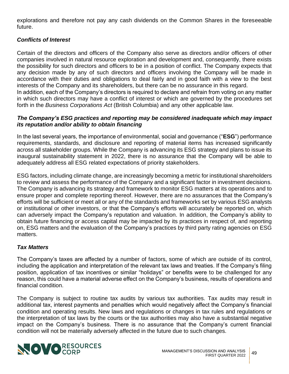explorations and therefore not pay any cash dividends on the Common Shares in the foreseeable future.

# *Conflicts of Interest*

Certain of the directors and officers of the Company also serve as directors and/or officers of other companies involved in natural resource exploration and development and, consequently, there exists the possibility for such directors and officers to be in a position of conflict. The Company expects that any decision made by any of such directors and officers involving the Company will be made in accordance with their duties and obligations to deal fairly and in good faith with a view to the best interests of the Company and its shareholders, but there can be no assurance in this regard. In addition, each of the Company's directors is required to declare and refrain from voting on any matter

in which such directors may have a conflict of interest or which are governed by the procedures set forth in the *Business Corporations Act* (British Columbia) and any other applicable law.

# *The Company's ESG practices and reporting may be considered inadequate which may impact its reputation and/or ability to obtain financing*

In the last several years, the importance of environmental, social and governance ("**ESG**") performance requirements, standards, and disclosure and reporting of material items has increased significantly across all stakeholder groups. While the Company is advancing its ESG strategy and plans to issue its inaugural sustainability statement in 2022, there is no assurance that the Company will be able to adequately address all ESG related expectations of priority stakeholders.

ESG factors, including climate change, are increasingly becoming a metric for institutional shareholders to review and assess the performance of the Company and a significant factor in investment decisions. The Company is advancing its strategy and framework to monitor ESG matters at its operations and to ensure proper and complete reporting thereof. However, there are no assurances that the Company's efforts will be sufficient or meet all or any of the standards and frameworks set by various ESG analysts or institutional or other investors, or that the Company's efforts will accurately be reported on, which can adversely impact the Company's reputation and valuation. In addition, the Company's ability to obtain future financing or access capital may be impacted by its practices in respect of, and reporting on, ESG matters and the evaluation of the Company's practices by third party rating agencies on ESG matters.

# *Tax Matters*

The Company's taxes are affected by a number of factors, some of which are outside of its control, including the application and interpretation of the relevant tax laws and treaties. If the Company's filing position, application of tax incentives or similar "holidays" or benefits were to be challenged for any reason, this could have a material adverse effect on the Company's business, results of operations and financial condition.

The Company is subject to routine tax audits by various tax authorities. Tax audits may result in additional tax, interest payments and penalties which would negatively affect the Company's financial condition and operating results. New laws and regulations or changes in tax rules and regulations or the interpretation of tax laws by the courts or the tax authorities may also have a substantial negative impact on the Company's business. There is no assurance that the Company's current financial condition will not be materially adversely affected in the future due to such changes.